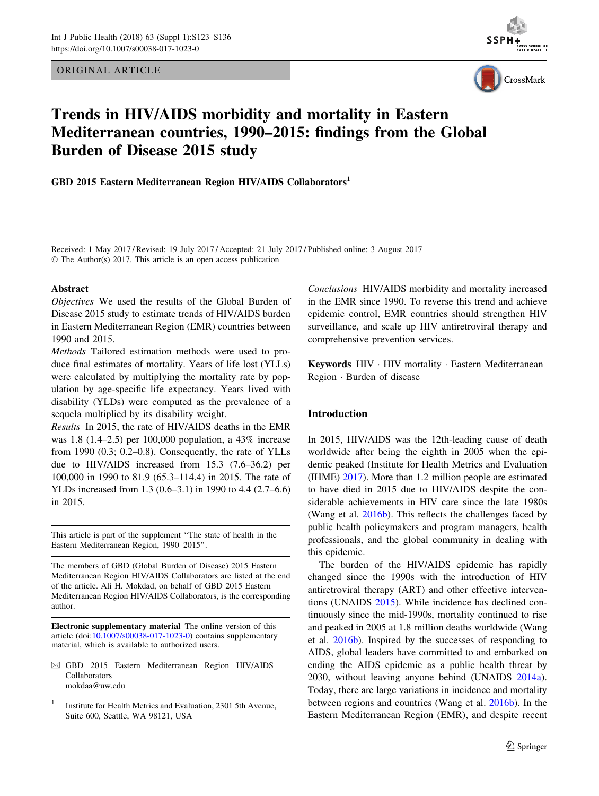ORIGINAL ARTICLE





# Trends in HIV/AIDS morbidity and mortality in Eastern Mediterranean countries, 1990–2015: findings from the Global Burden of Disease 2015 study

GBD 2015 Eastern Mediterranean Region HIV/AIDS Collaborators<sup>1</sup>

Received: 1 May 2017 / Revised: 19 July 2017 / Accepted: 21 July 2017 / Published online: 3 August 2017 © The Author(s) 2017. This article is an open access publication

#### Abstract

Objectives We used the results of the Global Burden of Disease 2015 study to estimate trends of HIV/AIDS burden in Eastern Mediterranean Region (EMR) countries between 1990 and 2015.

Methods Tailored estimation methods were used to produce final estimates of mortality. Years of life lost (YLLs) were calculated by multiplying the mortality rate by population by age-specific life expectancy. Years lived with disability (YLDs) were computed as the prevalence of a sequela multiplied by its disability weight.

Results In 2015, the rate of HIV/AIDS deaths in the EMR was 1.8 (1.4–2.5) per 100,000 population, a 43% increase from 1990 (0.3; 0.2–0.8). Consequently, the rate of YLLs due to HIV/AIDS increased from 15.3 (7.6–36.2) per 100,000 in 1990 to 81.9 (65.3–114.4) in 2015. The rate of YLDs increased from 1.3 (0.6–3.1) in 1990 to 4.4 (2.7–6.6) in 2015.

This article is part of the supplement ''The state of health in the Eastern Mediterranean Region, 1990–2015''.

The members of GBD (Global Burden of Disease) 2015 Eastern Mediterranean Region HIV/AIDS Collaborators are listed at the end of the article. Ali H. Mokdad, on behalf of GBD 2015 Eastern Mediterranean Region HIV/AIDS Collaborators, is the corresponding author.

Electronic supplementary material The online version of this article (doi:[10.1007/s00038-017-1023-0\)](https://doi.org/10.1007/s00038-017-1023-0) contains supplementary material, which is available to authorized users.

 $\boxtimes$  GBD 2015 Eastern Mediterranean Region HIV/AIDS Collaborators mokdaa@uw.edu

<sup>1</sup> Institute for Health Metrics and Evaluation, 2301 5th Avenue, Suite 600, Seattle, WA 98121, USA

Conclusions HIV/AIDS morbidity and mortality increased in the EMR since 1990. To reverse this trend and achieve epidemic control, EMR countries should strengthen HIV surveillance, and scale up HIV antiretroviral therapy and comprehensive prevention services.

Keywords HIV · HIV mortality · Eastern Mediterranean Region - Burden of disease

## Introduction

In 2015, HIV/AIDS was the 12th-leading cause of death worldwide after being the eighth in 2005 when the epidemic peaked (Institute for Health Metrics and Evaluation (IHME) [2017\)](#page-12-0). More than 1.2 million people are estimated to have died in 2015 due to HIV/AIDS despite the considerable achievements in HIV care since the late 1980s (Wang et al. [2016b](#page-12-0)). This reflects the challenges faced by public health policymakers and program managers, health professionals, and the global community in dealing with this epidemic.

The burden of the HIV/AIDS epidemic has rapidly changed since the 1990s with the introduction of HIV antiretroviral therapy (ART) and other effective interventions (UNAIDS [2015](#page-12-0)). While incidence has declined continuously since the mid-1990s, mortality continued to rise and peaked in 2005 at 1.8 million deaths worldwide (Wang et al. [2016b](#page-12-0)). Inspired by the successes of responding to AIDS, global leaders have committed to and embarked on ending the AIDS epidemic as a public health threat by 2030, without leaving anyone behind (UNAIDS [2014a](#page-12-0)). Today, there are large variations in incidence and mortality between regions and countries (Wang et al. [2016b\)](#page-12-0). In the Eastern Mediterranean Region (EMR), and despite recent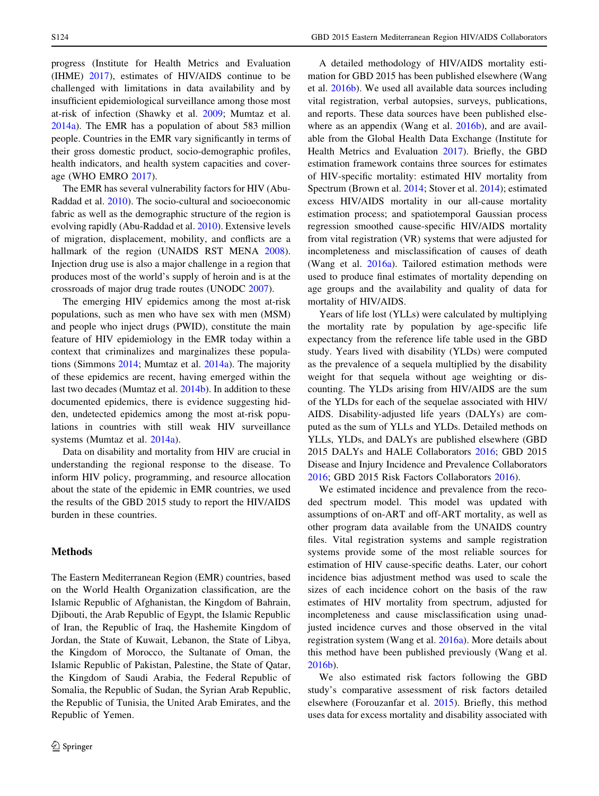progress (Institute for Health Metrics and Evaluation (IHME) [2017\)](#page-12-0), estimates of HIV/AIDS continue to be challenged with limitations in data availability and by insufficient epidemiological surveillance among those most at-risk of infection (Shawky et al. [2009;](#page-12-0) Mumtaz et al. [2014a](#page-12-0)). The EMR has a population of about 583 million people. Countries in the EMR vary significantly in terms of their gross domestic product, socio-demographic profiles, health indicators, and health system capacities and coverage (WHO EMRO [2017\)](#page-13-0).

The EMR has several vulnerability factors for HIV (Abu-Raddad et al. [2010\)](#page-11-0). The socio-cultural and socioeconomic fabric as well as the demographic structure of the region is evolving rapidly (Abu-Raddad et al. [2010](#page-11-0)). Extensive levels of migration, displacement, mobility, and conflicts are a hallmark of the region (UNAIDS RST MENA [2008](#page-12-0)). Injection drug use is also a major challenge in a region that produces most of the world's supply of heroin and is at the crossroads of major drug trade routes (UNODC [2007](#page-12-0)).

The emerging HIV epidemics among the most at-risk populations, such as men who have sex with men (MSM) and people who inject drugs (PWID), constitute the main feature of HIV epidemiology in the EMR today within a context that criminalizes and marginalizes these populations (Simmons [2014;](#page-12-0) Mumtaz et al. [2014a\)](#page-12-0). The majority of these epidemics are recent, having emerged within the last two decades (Mumtaz et al. [2014b](#page-12-0)). In addition to these documented epidemics, there is evidence suggesting hidden, undetected epidemics among the most at-risk populations in countries with still weak HIV surveillance systems (Mumtaz et al. [2014a](#page-12-0)).

Data on disability and mortality from HIV are crucial in understanding the regional response to the disease. To inform HIV policy, programming, and resource allocation about the state of the epidemic in EMR countries, we used the results of the GBD 2015 study to report the HIV/AIDS burden in these countries.

## Methods

The Eastern Mediterranean Region (EMR) countries, based on the World Health Organization classification, are the Islamic Republic of Afghanistan, the Kingdom of Bahrain, Djibouti, the Arab Republic of Egypt, the Islamic Republic of Iran, the Republic of Iraq, the Hashemite Kingdom of Jordan, the State of Kuwait, Lebanon, the State of Libya, the Kingdom of Morocco, the Sultanate of Oman, the Islamic Republic of Pakistan, Palestine, the State of Qatar, the Kingdom of Saudi Arabia, the Federal Republic of Somalia, the Republic of Sudan, the Syrian Arab Republic, the Republic of Tunisia, the United Arab Emirates, and the Republic of Yemen.

A detailed methodology of HIV/AIDS mortality estimation for GBD 2015 has been published elsewhere (Wang et al. [2016b](#page-12-0)). We used all available data sources including vital registration, verbal autopsies, surveys, publications, and reports. These data sources have been published else-where as an appendix (Wang et al. [2016b](#page-12-0)), and are available from the Global Health Data Exchange (Institute for Health Metrics and Evaluation [2017\)](#page-12-0). Briefly, the GBD estimation framework contains three sources for estimates of HIV-specific mortality: estimated HIV mortality from Spectrum (Brown et al. [2014;](#page-12-0) Stover et al. [2014](#page-12-0)); estimated excess HIV/AIDS mortality in our all-cause mortality estimation process; and spatiotemporal Gaussian process regression smoothed cause-specific HIV/AIDS mortality from vital registration (VR) systems that were adjusted for incompleteness and misclassification of causes of death (Wang et al. [2016a\)](#page-12-0). Tailored estimation methods were used to produce final estimates of mortality depending on age groups and the availability and quality of data for mortality of HIV/AIDS.

Years of life lost (YLLs) were calculated by multiplying the mortality rate by population by age-specific life expectancy from the reference life table used in the GBD study. Years lived with disability (YLDs) were computed as the prevalence of a sequela multiplied by the disability weight for that sequela without age weighting or discounting. The YLDs arising from HIV/AIDS are the sum of the YLDs for each of the sequelae associated with HIV/ AIDS. Disability-adjusted life years (DALYs) are computed as the sum of YLLs and YLDs. Detailed methods on YLLs, YLDs, and DALYs are published elsewhere (GBD 2015 DALYs and HALE Collaborators [2016;](#page-12-0) GBD 2015 Disease and Injury Incidence and Prevalence Collaborators [2016](#page-12-0); GBD 2015 Risk Factors Collaborators [2016\)](#page-12-0).

We estimated incidence and prevalence from the recoded spectrum model. This model was updated with assumptions of on-ART and off-ART mortality, as well as other program data available from the UNAIDS country files. Vital registration systems and sample registration systems provide some of the most reliable sources for estimation of HIV cause-specific deaths. Later, our cohort incidence bias adjustment method was used to scale the sizes of each incidence cohort on the basis of the raw estimates of HIV mortality from spectrum, adjusted for incompleteness and cause misclassification using unadjusted incidence curves and those observed in the vital registration system (Wang et al. [2016a\)](#page-12-0). More details about this method have been published previously (Wang et al. [2016b](#page-12-0)).

We also estimated risk factors following the GBD study's comparative assessment of risk factors detailed elsewhere (Forouzanfar et al. [2015\)](#page-12-0). Briefly, this method uses data for excess mortality and disability associated with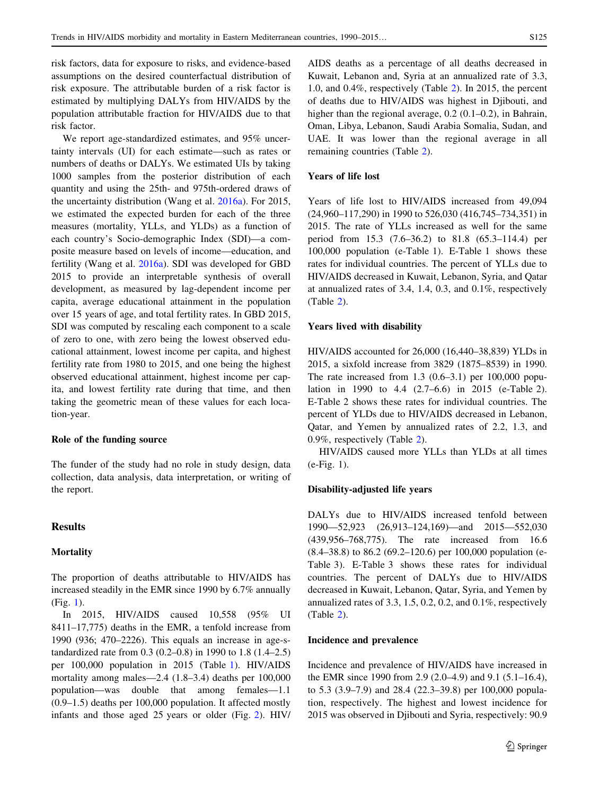risk factors, data for exposure to risks, and evidence-based assumptions on the desired counterfactual distribution of risk exposure. The attributable burden of a risk factor is estimated by multiplying DALYs from HIV/AIDS by the population attributable fraction for HIV/AIDS due to that risk factor.

We report age-standardized estimates, and 95% uncertainty intervals (UI) for each estimate—such as rates or numbers of deaths or DALYs. We estimated UIs by taking 1000 samples from the posterior distribution of each quantity and using the 25th- and 975th-ordered draws of the uncertainty distribution (Wang et al. [2016a](#page-12-0)). For 2015, we estimated the expected burden for each of the three measures (mortality, YLLs, and YLDs) as a function of each country's Socio-demographic Index (SDI)—a composite measure based on levels of income—education, and fertility (Wang et al. [2016a](#page-12-0)). SDI was developed for GBD 2015 to provide an interpretable synthesis of overall development, as measured by lag-dependent income per capita, average educational attainment in the population over 15 years of age, and total fertility rates. In GBD 2015, SDI was computed by rescaling each component to a scale of zero to one, with zero being the lowest observed educational attainment, lowest income per capita, and highest fertility rate from 1980 to 2015, and one being the highest observed educational attainment, highest income per capita, and lowest fertility rate during that time, and then taking the geometric mean of these values for each location-year.

#### Role of the funding source

The funder of the study had no role in study design, data collection, data analysis, data interpretation, or writing of the report.

## Results

## **Mortality**

The proportion of deaths attributable to HIV/AIDS has increased steadily in the EMR since 1990 by 6.7% annually (Fig. [1](#page-3-0)).

In 2015, HIV/AIDS caused 10,558 (95% UI 8411–17,775) deaths in the EMR, a tenfold increase from 1990 (936; 470–2226). This equals an increase in age-standardized rate from 0.3 (0.2–0.8) in 1990 to 1.8 (1.4–2.5) per 100,000 population in 2015 (Table [1](#page-4-0)). HIV/AIDS mortality among males—2.4 (1.8–3.4) deaths per 100,000 population—was double that among females—1.1 (0.9–1.5) deaths per 100,000 population. It affected mostly infants and those aged 25 years or older (Fig. [2\)](#page-4-0). HIV/ AIDS deaths as a percentage of all deaths decreased in Kuwait, Lebanon and, Syria at an annualized rate of 3.3, 1.0, and 0.4%, respectively (Table [2\)](#page-5-0). In 2015, the percent of deaths due to HIV/AIDS was highest in Djibouti, and higher than the regional average, 0.2 (0.1–0.2), in Bahrain, Oman, Libya, Lebanon, Saudi Arabia Somalia, Sudan, and UAE. It was lower than the regional average in all remaining countries (Table [2\)](#page-5-0).

## Years of life lost

Years of life lost to HIV/AIDS increased from 49,094 (24,960–117,290) in 1990 to 526,030 (416,745–734,351) in 2015. The rate of YLLs increased as well for the same period from 15.3 (7.6–36.2) to 81.8 (65.3–114.4) per 100,000 population (e-Table 1). E-Table 1 shows these rates for individual countries. The percent of YLLs due to HIV/AIDS decreased in Kuwait, Lebanon, Syria, and Qatar at annualized rates of 3.4, 1.4, 0.3, and 0.1%, respectively (Table [2\)](#page-5-0).

#### Years lived with disability

HIV/AIDS accounted for 26,000 (16,440–38,839) YLDs in 2015, a sixfold increase from 3829 (1875–8539) in 1990. The rate increased from 1.3 (0.6–3.1) per 100,000 population in 1990 to 4.4 (2.7–6.6) in 2015 (e-Table 2). E-Table 2 shows these rates for individual countries. The percent of YLDs due to HIV/AIDS decreased in Lebanon, Qatar, and Yemen by annualized rates of 2.2, 1.3, and 0.9%, respectively (Table [2](#page-5-0)).

HIV/AIDS caused more YLLs than YLDs at all times (e-Fig. 1).

#### Disability-adjusted life years

DALYs due to HIV/AIDS increased tenfold between 1990—52,923 (26,913–124,169)—and 2015—552,030 (439,956–768,775). The rate increased from 16.6 (8.4–38.8) to 86.2 (69.2–120.6) per 100,000 population (e-Table 3). E-Table 3 shows these rates for individual countries. The percent of DALYs due to HIV/AIDS decreased in Kuwait, Lebanon, Qatar, Syria, and Yemen by annualized rates of 3.3, 1.5, 0.2, 0.2, and 0.1%, respectively (Table [2\)](#page-5-0).

### Incidence and prevalence

Incidence and prevalence of HIV/AIDS have increased in the EMR since 1990 from 2.9 (2.0–4.9) and 9.1 (5.1–16.4), to 5.3 (3.9–7.9) and 28.4 (22.3–39.8) per 100,000 population, respectively. The highest and lowest incidence for 2015 was observed in Djibouti and Syria, respectively: 90.9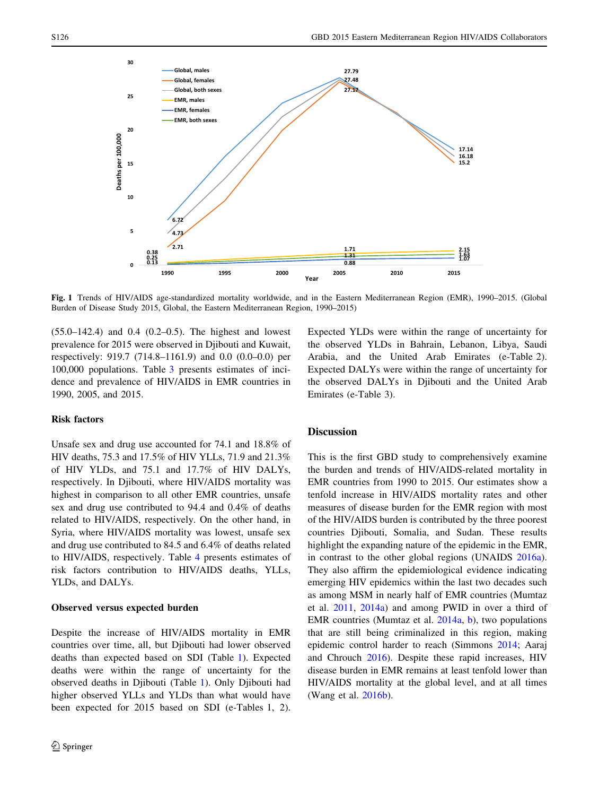<span id="page-3-0"></span>

Fig. 1 Trends of HIV/AIDS age-standardized mortality worldwide, and in the Eastern Mediterranean Region (EMR), 1990–2015. (Global Burden of Disease Study 2015, Global, the Eastern Mediterranean Region, 1990–2015)

(55.0–142.4) and 0.4 (0.2–0.5). The highest and lowest prevalence for 2015 were observed in Djibouti and Kuwait, respectively: 919.7 (714.8–1161.9) and 0.0 (0.0–0.0) per 100,000 populations. Table [3](#page-6-0) presents estimates of incidence and prevalence of HIV/AIDS in EMR countries in 1990, 2005, and 2015.

## Risk factors

Unsafe sex and drug use accounted for 74.1 and 18.8% of HIV deaths, 75.3 and 17.5% of HIV YLLs, 71.9 and 21.3% of HIV YLDs, and 75.1 and 17.7% of HIV DALYs, respectively. In Djibouti, where HIV/AIDS mortality was highest in comparison to all other EMR countries, unsafe sex and drug use contributed to 94.4 and 0.4% of deaths related to HIV/AIDS, respectively. On the other hand, in Syria, where HIV/AIDS mortality was lowest, unsafe sex and drug use contributed to 84.5 and 6.4% of deaths related to HIV/AIDS, respectively. Table [4](#page-7-0) presents estimates of risk factors contribution to HIV/AIDS deaths, YLLs, YLDs, and DALYs.

## Observed versus expected burden

Despite the increase of HIV/AIDS mortality in EMR countries over time, all, but Djibouti had lower observed deaths than expected based on SDI (Table [1](#page-4-0)). Expected deaths were within the range of uncertainty for the observed deaths in Djibouti (Table [1\)](#page-4-0). Only Djibouti had higher observed YLLs and YLDs than what would have been expected for 2015 based on SDI (e-Tables 1, 2).

Expected YLDs were within the range of uncertainty for the observed YLDs in Bahrain, Lebanon, Libya, Saudi Arabia, and the United Arab Emirates (e-Table 2). Expected DALYs were within the range of uncertainty for the observed DALYs in Djibouti and the United Arab Emirates (e-Table 3).

## **Discussion**

This is the first GBD study to comprehensively examine the burden and trends of HIV/AIDS-related mortality in EMR countries from 1990 to 2015. Our estimates show a tenfold increase in HIV/AIDS mortality rates and other measures of disease burden for the EMR region with most of the HIV/AIDS burden is contributed by the three poorest countries Djibouti, Somalia, and Sudan. These results highlight the expanding nature of the epidemic in the EMR, in contrast to the other global regions (UNAIDS [2016a](#page-12-0)). They also affirm the epidemiological evidence indicating emerging HIV epidemics within the last two decades such as among MSM in nearly half of EMR countries (Mumtaz et al. [2011,](#page-12-0) [2014a\)](#page-12-0) and among PWID in over a third of EMR countries (Mumtaz et al. [2014a](#page-12-0), [b](#page-12-0)), two populations that are still being criminalized in this region, making epidemic control harder to reach (Simmons [2014;](#page-12-0) Aaraj and Chrouch [2016\)](#page-11-0). Despite these rapid increases, HIV disease burden in EMR remains at least tenfold lower than HIV/AIDS mortality at the global level, and at all times (Wang et al. [2016b](#page-12-0)).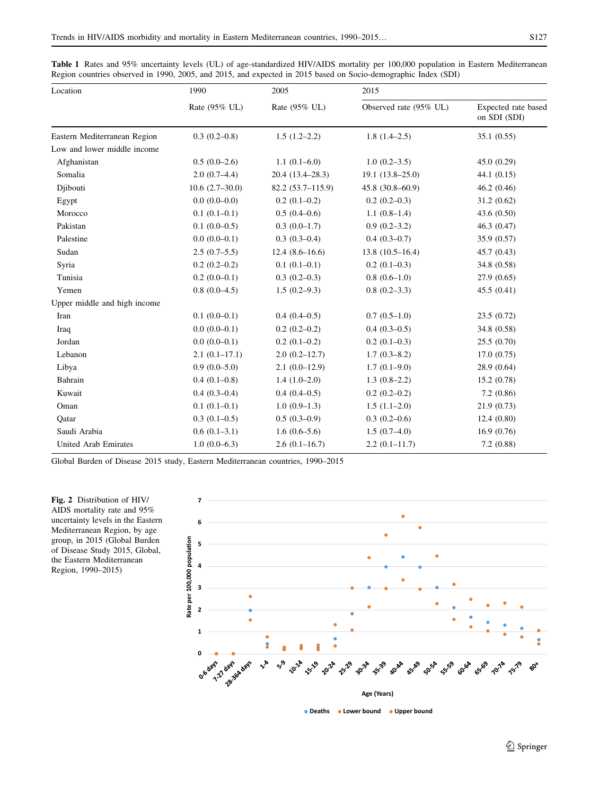<span id="page-4-0"></span>

| Table 1 Rates and 95% uncertainty levels (UL) of age-standardized HIV/AIDS mortality per 100,000 population in Eastern Mediterranean |  |  |  |  |  |
|--------------------------------------------------------------------------------------------------------------------------------------|--|--|--|--|--|
| Region countries observed in 1990, 2005, and 2015, and expected in 2015 based on Socio-demographic Index (SDI)                       |  |  |  |  |  |

| Location                     | 1990             | 2005               | 2015                   |                                     |
|------------------------------|------------------|--------------------|------------------------|-------------------------------------|
|                              | Rate (95% UL)    | Rate (95% UL)      | Observed rate (95% UL) | Expected rate based<br>on SDI (SDI) |
| Eastern Mediterranean Region | $0.3(0.2-0.8)$   | $1.5(1.2-2.2)$     | $1.8(1.4-2.5)$         | 35.1(0.55)                          |
| Low and lower middle income  |                  |                    |                        |                                     |
| Afghanistan                  | $0.5(0.0-2.6)$   | $1.1(0.1-6.0)$     | $1.0(0.2 - 3.5)$       | 45.0(0.29)                          |
| Somalia                      | $2.0(0.7-4.4)$   | $20.4(13.4-28.3)$  | $19.1(13.8-25.0)$      | 44.1(0.15)                          |
| Djibouti                     | $10.6(2.7-30.0)$ | $82.2(53.7-115.9)$ | $45.8(30.8 - 60.9)$    | 46.2(0.46)                          |
| Egypt                        | $0.0(0.0-0.0)$   | $0.2(0.1-0.2)$     | $0.2(0.2-0.3)$         | 31.2(0.62)                          |
| Morocco                      | $0.1(0.1-0.1)$   | $0.5(0.4-0.6)$     | $1.1(0.8-1.4)$         | 43.6(0.50)                          |
| Pakistan                     | $0.1(0.0-0.5)$   | $0.3(0.0-1.7)$     | $0.9(0.2-3.2)$         | 46.3(0.47)                          |
| Palestine                    | $0.0(0.0-0.1)$   | $0.3(0.3-0.4)$     | $0.4(0.3-0.7)$         | 35.9 (0.57)                         |
| Sudan                        | $2.5(0.7-5.5)$   | $12.4(8.6-16.6)$   | $13.8(10.5-16.4)$      | 45.7(0.43)                          |
| Syria                        | $0.2(0.2-0.2)$   | $0.1(0.1-0.1)$     | $0.2(0.1-0.3)$         | 34.8 (0.58)                         |
| Tunisia                      | $0.2(0.0-0.1)$   | $0.3(0.2-0.3)$     | $0.8(0.6-1.0)$         | 27.9(0.65)                          |
| Yemen                        | $0.8(0.0-4.5)$   | $1.5(0.2-9.3)$     | $0.8(0.2-3.3)$         | 45.5 (0.41)                         |
| Upper middle and high income |                  |                    |                        |                                     |
| Iran                         | $0.1(0.0-0.1)$   | $0.4(0.4-0.5)$     | $0.7(0.5-1.0)$         | 23.5(0.72)                          |
| Iraq                         | $0.0(0.0-0.1)$   | $0.2(0.2-0.2)$     | $0.4(0.3-0.5)$         | 34.8 (0.58)                         |
| Jordan                       | $0.0(0.0-0.1)$   | $0.2(0.1-0.2)$     | $0.2(0.1-0.3)$         | 25.5(0.70)                          |
| Lebanon                      | $2.1(0.1-17.1)$  | $2.0(0.2 - 12.7)$  | $1.7(0.3-8.2)$         | 17.0(0.75)                          |
| Libya                        | $0.9(0.0-5.0)$   | $2.1(0.0-12.9)$    | $1.7(0.1-9.0)$         | 28.9 (0.64)                         |
| Bahrain                      | $0.4(0.1-0.8)$   | $1.4(1.0-2.0)$     | $1.3(0.8-2.2)$         | 15.2(0.78)                          |
| Kuwait                       | $0.4(0.3-0.4)$   | $0.4(0.4-0.5)$     | $0.2(0.2-0.2)$         | 7.2(0.86)                           |
| Oman                         | $0.1(0.1-0.1)$   | $1.0(0.9-1.3)$     | $1.5(1.1-2.0)$         | 21.9(0.73)                          |
| Qatar                        | $0.3(0.1-0.5)$   | $0.5(0.3-0.9)$     | $0.3(0.2-0.6)$         | 12.4(0.80)                          |
| Saudi Arabia                 | $0.6(0.1-3.1)$   | $1.6(0.6-5.6)$     | $1.5(0.7-4.0)$         | 16.9(0.76)                          |
| United Arab Emirates         | $1.0(0.0-6.3)$   | $2.6(0.1-16.7)$    | $2.2(0.1 - 11.7)$      | 7.2(0.88)                           |

Global Burden of Disease 2015 study, Eastern Mediterranean countries, 1990–2015





**Deaths Lower bound Upper bound**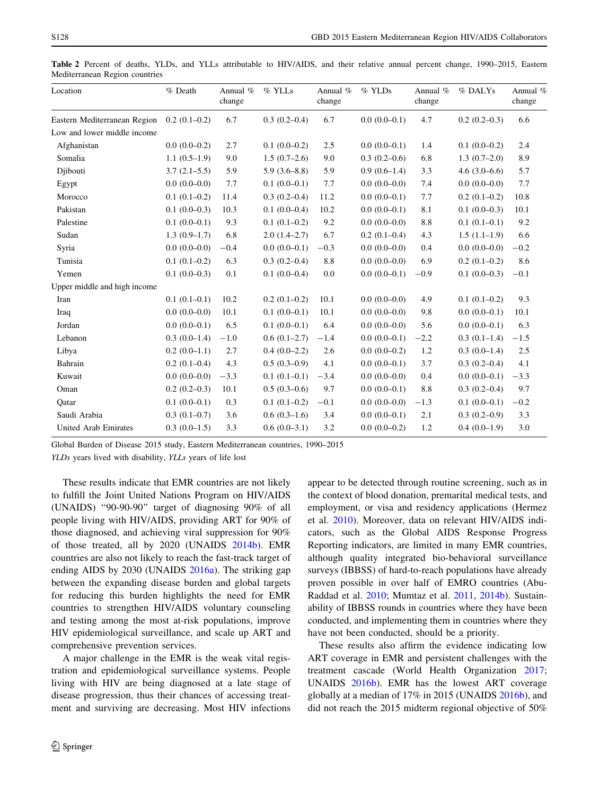<span id="page-5-0"></span>Table 2 Percent of deaths, YLDs, and YLLs attributable to HIV/AIDS, and their relative annual percent change, 1990–2015, Eastern Mediterranean Region countries

| Location                     | % Death        | Annual %<br>change | % YLLs         | Annual %<br>change | % YLDs         | Annual %<br>change | % DALYs        | Annual %<br>change |
|------------------------------|----------------|--------------------|----------------|--------------------|----------------|--------------------|----------------|--------------------|
| Eastern Mediterranean Region | $0.2(0.1-0.2)$ | 6.7                | $0.3(0.2-0.4)$ | 6.7                | $0.0(0.0-0.1)$ | 4.7                | $0.2(0.2-0.3)$ | 6.6                |
| Low and lower middle income  |                |                    |                |                    |                |                    |                |                    |
| Afghanistan                  | $0.0(0.0-0.2)$ | 2.7                | $0.1(0.0-0.2)$ | 2.5                | $0.0(0.0-0.1)$ | 1.4                | $0.1(0.0-0.2)$ | 2.4                |
| Somalia                      | $1.1(0.5-1.9)$ | 9.0                | $1.5(0.7-2.6)$ | 9.0                | $0.3(0.2-0.6)$ | 6.8                | $1.3(0.7-2.0)$ | 8.9                |
| Djibouti                     | $3.7(2.1-5.5)$ | 5.9                | $5.9(3.6-8.8)$ | 5.9                | $0.9(0.6-1.4)$ | 3.3                | $4.6(3.0-6.6)$ | 5.7                |
| Egypt                        | $0.0(0.0-0.0)$ | 7.7                | $0.1(0.0-0.1)$ | 7.7                | $0.0(0.0-0.0)$ | 7.4                | $0.0(0.0-0.0)$ | 7.7                |
| Morocco                      | $0.1(0.1-0.2)$ | 11.4               | $0.3(0.2-0.4)$ | 11.2               | $0.0(0.0-0.1)$ | 7.7                | $0.2(0.1-0.2)$ | 10.8               |
| Pakistan                     | $0.1(0.0-0.3)$ | 10.3               | $0.1(0.0-0.4)$ | 10.2               | $0.0(0.0-0.1)$ | 8.1                | $0.1(0.0-0.3)$ | 10.1               |
| Palestine                    | $0.1(0.0-0.1)$ | 9.3                | $0.1(0.1-0.2)$ | 9.2                | $0.0(0.0-0.0)$ | 8.8                | $0.1(0.1-0.1)$ | 9.2                |
| Sudan                        | $1.3(0.9-1.7)$ | 6.8                | $2.0(1.4-2.7)$ | 6.7                | $0.2(0.1-0.4)$ | 4.3                | $1.5(1.1-1.9)$ | 6.6                |
| Syria                        | $0.0(0.0-0.0)$ | $-0.4$             | $0.0(0.0-0.1)$ | $-0.3$             | $0.0(0.0-0.0)$ | 0.4                | $0.0(0.0-0.0)$ | $-0.2$             |
| Tunisia                      | $0.1(0.1-0.2)$ | 6.3                | $0.3(0.2-0.4)$ | 8.8                | $0.0(0.0-0.0)$ | 6.9                | $0.2(0.1-0.2)$ | 8.6                |
| Yemen                        | $0.1(0.0-0.3)$ | 0.1                | $0.1(0.0-0.4)$ | 0.0                | $0.0(0.0-0.1)$ | $-0.9$             | $0.1(0.0-0.3)$ | $-0.1$             |
| Upper middle and high income |                |                    |                |                    |                |                    |                |                    |
| Iran                         | $0.1(0.1-0.1)$ | 10.2               | $0.2(0.1-0.2)$ | 10.1               | $0.0(0.0-0.0)$ | 4.9                | $0.1(0.1-0.2)$ | 9.3                |
| Iraq                         | $0.0(0.0-0.0)$ | 10.1               | $0.1(0.0-0.1)$ | 10.1               | $0.0(0.0-0.0)$ | 9.8                | $0.0(0.0-0.1)$ | 10.1               |
| Jordan                       | $0.0(0.0-0.1)$ | 6.5                | $0.1(0.0-0.1)$ | 6.4                | $0.0(0.0-0.0)$ | 5.6                | $0.0(0.0-0.1)$ | 6.3                |
| Lebanon                      | $0.3(0.0-1.4)$ | $-1.0$             | $0.6(0.1-2.7)$ | $-1.4$             | $0.0(0.0-0.1)$ | $-2.2$             | $0.3(0.1-1.4)$ | $-1.5$             |
| Libya                        | $0.2(0.0-1.1)$ | 2.7                | $0.4(0.0-2.2)$ | 2.6                | $0.0(0.0-0.2)$ | 1.2                | $0.3(0.0-1.4)$ | 2.5                |
| Bahrain                      | $0.2(0.1-0.4)$ | 4.3                | $0.5(0.3-0.9)$ | 4.1                | $0.0(0.0-0.1)$ | 3.7                | $0.3(0.2-0.4)$ | 4.1                |
| Kuwait                       | $0.0(0.0-0.0)$ | $-3.3$             | $0.1(0.1-0.1)$ | $-3.4$             | $0.0(0.0-0.0)$ | 0.4                | $0.0(0.0-0.1)$ | $-3.3$             |
| Oman                         | $0.2(0.2-0.3)$ | 10.1               | $0.5(0.3-0.6)$ | 9.7                | $0.0(0.0-0.1)$ | 8.8                | $0.3(0.2-0.4)$ | 9.7                |
| Qatar                        | $0.1(0.0-0.1)$ | 0.3                | $0.1(0.1-0.2)$ | $-0.1$             | $0.0(0.0-0.0)$ | $-1.3$             | $0.1(0.0-0.1)$ | $-0.2$             |
| Saudi Arabia                 | $0.3(0.1-0.7)$ | 3.6                | $0.6(0.3-1.6)$ | 3.4                | $0.0(0.0-0.1)$ | 2.1                | $0.3(0.2-0.9)$ | 3.3                |
| United Arab Emirates         | $0.3(0.0-1.5)$ | 3.3                | $0.6(0.0-3.1)$ | 3.2                | $0.0(0.0-0.2)$ | 1.2                | $0.4(0.0-1.9)$ | 3.0                |

Global Burden of Disease 2015 study, Eastern Mediterranean countries, 1990–2015

YLDs years lived with disability, YLLs years of life lost

These results indicate that EMR countries are not likely to fulfill the Joint United Nations Program on HIV/AIDS (UNAIDS) ''90-90-90'' target of diagnosing 90% of all people living with HIV/AIDS, providing ART for 90% of those diagnosed, and achieving viral suppression for 90% of those treated, all by 2020 (UNAIDS [2014b\)](#page-12-0). EMR countries are also not likely to reach the fast-track target of ending AIDS by 2030 (UNAIDS [2016a\)](#page-12-0). The striking gap between the expanding disease burden and global targets for reducing this burden highlights the need for EMR countries to strengthen HIV/AIDS voluntary counseling and testing among the most at-risk populations, improve HIV epidemiological surveillance, and scale up ART and comprehensive prevention services.

A major challenge in the EMR is the weak vital registration and epidemiological surveillance systems. People living with HIV are being diagnosed at a late stage of disease progression, thus their chances of accessing treatment and surviving are decreasing. Most HIV infections

appear to be detected through routine screening, such as in the context of blood donation, premarital medical tests, and employment, or visa and residency applications (Hermez et al. [2010](#page-12-0)). Moreover, data on relevant HIV/AIDS indicators, such as the Global AIDS Response Progress Reporting indicators, are limited in many EMR countries, although quality integrated bio-behavioral surveillance surveys (IBBSS) of hard-to-reach populations have already proven possible in over half of EMRO countries (Abu-Raddad et al. [2010](#page-11-0); Mumtaz et al. [2011](#page-12-0), [2014b](#page-12-0)). Sustainability of IBBSS rounds in countries where they have been conducted, and implementing them in countries where they have not been conducted, should be a priority.

These results also affirm the evidence indicating low ART coverage in EMR and persistent challenges with the treatment cascade (World Health Organization [2017](#page-13-0); UNAIDS [2016b](#page-12-0)). EMR has the lowest ART coverage globally at a median of 17% in 2015 (UNAIDS [2016b\)](#page-12-0), and did not reach the 2015 midterm regional objective of 50%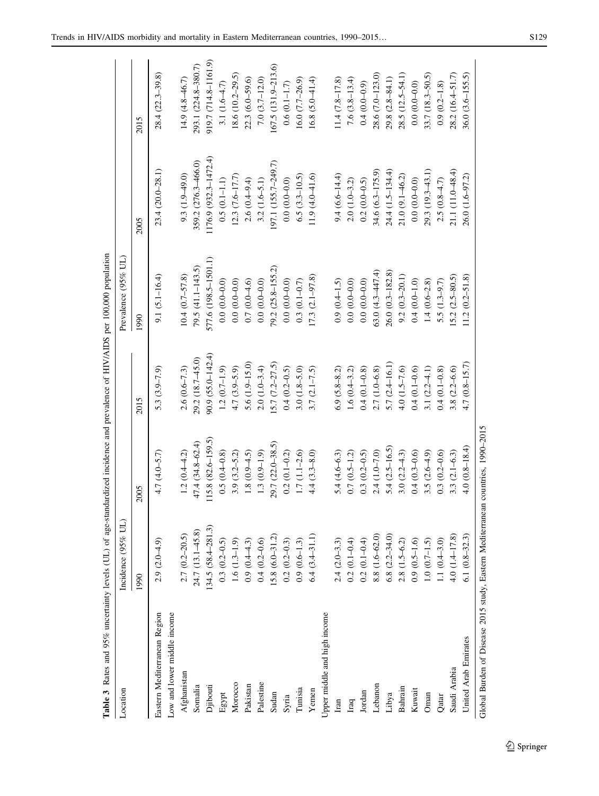<span id="page-6-0"></span>

| Table 3 Rates and 95% uncertainty levels (UL) of age-standardized incidence and prevalence of HIV/AIDS per 100,000 population |                                    |                     |                      |                      |                          |                      |
|-------------------------------------------------------------------------------------------------------------------------------|------------------------------------|---------------------|----------------------|----------------------|--------------------------|----------------------|
| Location                                                                                                                      | Incidence (95% UL)                 |                     |                      | Prevalence (95% UL)  |                          |                      |
|                                                                                                                               | 1990                               | 2005                | 2015                 | 1990                 | 2005                     | 2015                 |
| Eastern Mediterranean Region<br>Low and lower middle income                                                                   | $2.9(2.0-4.9)$                     | $4.7(4.0 - 5.7)$    | 5.3 $(3.9 - 7.9)$    | $9.1 (5.1 - 16.4)$   | $23.4(20.0-28.1)$        | $28.4(22.3-39.8)$    |
| Afghanistan                                                                                                                   | $2.7(0.2-20.5)$                    | $1.2(0.4 - 4.2)$    | $2.6(0.6 - 7.3)$     | $10.4(0.7 - 57.8)$   | $9.3(1.9 - 49.0)$        | $14.9(4.8-46.7)$     |
| Somalia                                                                                                                       | 24.7 (13.1-45.8)                   | $47.4(34.8 - 62.4)$ | 29.2 (18.7-45.0)     | $79.5(41.1 - 143.5)$ | 359.2 (276.3-466.0)      | 293.1 (224.8-380.7)  |
| Djibouti                                                                                                                      | $134.5(58.4 - 281.3)$              | 115.8 (82.6-159.5)  | $90.9(55.0 - 142.4)$ | 577.6 (198.5-1501.1) | $1176.9(932.3 - 1472.4)$ | 919.7 (714.8-1161.9) |
| Egypt                                                                                                                         | $0.3(0.2-0.5)$                     | $0.5(0.4-0.8)$      | $1.2(0.7-1.9)$       | $0.0(0.0-0.0)$       | $0.5(0.1 - 1.1)$         | $3.1(1.6 - 4.7)$     |
| Morocco                                                                                                                       | 1.6 $(1.3-1.9)$<br>0.9 $(0.4-4.3)$ | $3.9(3.2 - 5.2)$    | $4.7(3.9 - 5.9)$     | $0.0(0.0-0.0)$       | $12.3 (7.6 - 17.7)$      | 18.6 $(10.2 - 29.5)$ |
| Pakistan                                                                                                                      |                                    | $1.8(0.9 - 4.5)$    | 5.6 $(1.9-15.0)$     | $0.7(0.0-4.6)$       | $2.6(0.4 - 9.4)$         | $22.3(6.0 - 59.6)$   |
| Palestine                                                                                                                     | $0.4(0.2-0.6)$                     | $1.3(0.9-1.9)$      | $2.0(1.0-3.4)$       | $0.0(0.0-0.0)$       | $3.2(1.6-5.1)$           | $7.0 (3.7 - 12.0)$   |
| Sudan                                                                                                                         | $.5.8(6.0-31.2)$                   | 29.7 (22.0-38.5)    | $[5.7 (7.2 - 27.5)]$ | 79.2 (25.8–155.2)    | 197.1 (155.7-249.7)      | 167.5 (131.9-213.6)  |
| Syria                                                                                                                         | $0.2(0.2-0.3)$                     | $0.2(0.1 - 0.2)$    | $0.4(0.2 - 0.5)$     | $0.0(0.0-0.0)$       | $0.0(0.0-0.0)$           | $0.6(0.1 - 1.7)$     |
| Tunisia                                                                                                                       | $0.9(0.6-1.3)$                     | $1.7(1.1 - 2.6)$    | $3.0(1.8 - 5.0)$     | $0.3(0.1 - 0.7)$     | $6.5(3.3-10.5)$          | $16.0 (7.7 - 26.9)$  |
| Yemen                                                                                                                         | $6.4(3.4 - 31.1)$                  | $4.4(3.3-8.0)$      | $3.7 (2.1 - 7.5)$    | $17.3(2.1 - 97.8)$   | $11.9(4.0 - 41.6)$       | $16.8(5.0-41.4)$     |
| Upper middle and high income                                                                                                  |                                    |                     |                      |                      |                          |                      |
| Iran                                                                                                                          | $2.4(2.0-3.3)$                     | $5.4(4.6-6.3)$      | $6.9(5.8-8.2)$       | $0.9(0.4-1.5)$       | $9.4(6.6 - 14.4)$        | $11.4(7.8-17.8)$     |
| Iraq                                                                                                                          | $0.2(0.1 - 0.4)$                   | $0.7(0.5 - 1.2)$    | $1.6(0.4-3.2)$       | $0.0(0.0-0.0)$       | $2.0(1.0-3.2)$           | $7.6(3.8-13.4)$      |
| Jordan                                                                                                                        | $0.2(0.1 - 0.4)$                   | $0.3(0.2-0.5)$      | $0.4(0.1 - 0.8)$     | $0.0(0.0-0.0)$       | $0.2(0.0-0.5)$           | $0.4(0.0-0.9)$       |
| Lebanon                                                                                                                       | 8.8 (1.6-62.0)                     | $2.4(1.0 - 7.0)$    | $2.7(1.0 - 6.8)$     | $63.0(4.3 - 447.4)$  | 34.6 (6.3-175.9)         | 28.6 (7.0-123.0)     |
| Libya                                                                                                                         | 6.8 $(2.2 - 34.0)$                 | $5.4(2.5-16.5)$     | 5.7 $(2.4-16.1)$     | 26.0 (0.3-182.8)     | $24.4(1.5-134.4)$        | $29.8 (2.8 - 84.1)$  |
| Bahrain                                                                                                                       | $2.8(1.5-6.2)$                     | $3.0(2.2-4.3)$      | $4.0(1.5-7.6)$       | $9.2(0.3-20.1)$      | $21.0(9.1 - 46.2)$       | $28.5(12.5-54.1)$    |
| Kuwait                                                                                                                        | $0.9(0.5-1.6)$                     | $0.4(0.3-0.6)$      | $0.4(0.1-0.6)$       | $0.4(0.0 - 1.0)$     | $0.0(0.0-0.0)$           | $0.0(0.0-0.0)$       |
| Oman                                                                                                                          | $1.0(0.7-1.5)$                     | 3.5 $(2.6-4.9)$     | 3.1 $(2.2 - 4.1)$    | $1.4(0.6-2.8)$       | $29.3(19.3-43.1)$        | 33.7 (18.3-50.5)     |
| Qatar                                                                                                                         | 1.1 $(0.4-3.0)$                    | $0.3(0.2-0.6)$      | $0.4(0.1 - 0.8)$     | $5.5(1.3-9.7)$       | $2.5(0.8 - 4.7)$         | $0.9(0.2 - 1.8)$     |
| Saudi Arabia                                                                                                                  | 4.0 $(1.4-17.8)$                   | 3.3 $(2.1-6.3)$     | 3.8 $(2.2 - 6.6)$    | $15.2 (2.5 - 80.5)$  | 21.1 (11.0-48.4)         | 28.2 (16.4-51.7)     |
| United Arab Emirates                                                                                                          | $6.1(0.8-32.3)$                    | $4.0(0.8-18.4)$     | $4.7(0.8-15.7)$      | $11.2(0.2 - 51.8)$   | 26.0 (1.6-97.2)          | $36.0 (3.6 - 155.5)$ |
| Global Burden of Disease 2015 study, Eastern Mediterranean countries, 1990-2015                                               |                                    |                     |                      |                      |                          |                      |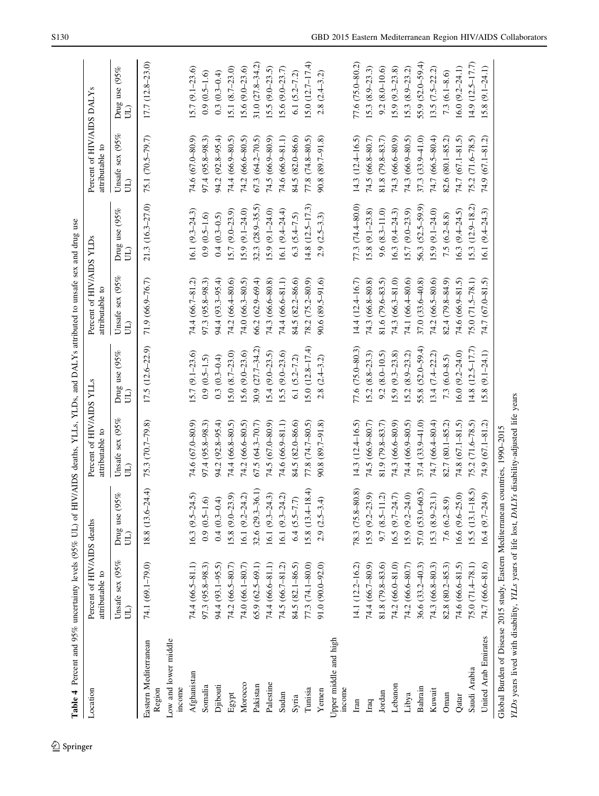<span id="page-7-0"></span>

| <b>Table 4</b> Percent and 95% uncertainty levels $(95\% \text{ UL})$ of                        |                                               |                                  | HIV/AIDS deaths, YLLs, YLDs, and DALYs attributed to unsafe sex and drug use |                                            |                                            |                                 |                                             |                                   |
|-------------------------------------------------------------------------------------------------|-----------------------------------------------|----------------------------------|------------------------------------------------------------------------------|--------------------------------------------|--------------------------------------------|---------------------------------|---------------------------------------------|-----------------------------------|
| Location                                                                                        | Percent of HIV/AIDS deaths<br>attributable to |                                  | Percent of HIV/AIDS YLL<br>attributable to                                   |                                            | Percent of HIV/AIDS YLD<br>attributable to |                                 | Percent of HIV/AIDS DALY<br>attributable to |                                   |
|                                                                                                 | Unsafe sex (95%<br>$\Xi$                      | 05%<br>Drug use<br>$\widehat{E}$ | Unsafe sex (95%<br>Ê                                                         | Drug use $(95\%$<br>$\widehat{\mathbb{H}}$ | Unsafe sex (95%<br>$\widehat{\Xi}$         | Drug use $(95\%$<br>$\tilde{E}$ | Unsafe sex (95%<br>$\widehat{E}$            | Drug use $(95\%$<br>$\widehat{L}$ |
| Eastern Mediterranean<br>Region                                                                 | 74.1 (69.1-79.0)                              | $18.8(13.6-24.4)$                | 75.3 (70.7-79.8)                                                             | $17.5(12.6-22.9)$                          | 71.9 (66.9-76.7)                           | $21.3(16.3 - 27.0)$             | 75.1 (70.5-79.7)                            | $17.7(12.8-23.0)$                 |
| Low and lower middle<br>income                                                                  |                                               |                                  |                                                                              |                                            |                                            |                                 |                                             |                                   |
| Afghanistan                                                                                     | 74.4 (66.5-81.1)                              | $16.3 (9.5 - 24.5)$              | 74.6 (67.0-80.9)                                                             | $15.7(9.1-23.6)$                           | 74.4 (66.7-81.2)                           | $16.1(9.3-24.3)$                | 74.6 (67.0-80.9)                            | $15.7(9.1-23.6)$                  |
| Somalia                                                                                         | $97.3(95.8 - 98.3)$                           | $0.9(0.5-1.6)$                   | 97.4 (95.8-98.3)                                                             | $0.9(0.5-1.5)$                             | 97.3 (95.8-98.3)                           | $0.9(0.5-1.6)$                  | 97.4 (95.8-98.3)                            | $0.9(0.5-1.6)$                    |
| Djibouti                                                                                        | 94.4 (93.1–95.5)                              | $0.4(0.3-0.4)$                   | 94.2 (92.8–95.4)                                                             | $0.3(0.3-0.4)$                             | 94.4 (93.3–95.4)                           | $0.4(0.3-0.5)$                  | 94.2 (92.8-95.4)                            | $(0.3 - 0.4)$<br>0.3              |
| Egypt                                                                                           | 74.2 (66.5-80.7)                              | $(5.8(9.0-23.9))$                | 74.4 (66.8-80.5)                                                             | $[5.0 (8.7 - 23.0)]$                       | 74.2 (66.4-80.6)                           | $5.7(9.0-23.9)$                 | 74.4 (66.9-80.5)                            | 5.1 $(8.7-23.0)$                  |
| Morocco                                                                                         | 74.0 (66.1-80.7)                              | $16.1(9.2 - 24.2)$               | 74.2 (66.6–80.5)                                                             | $15.6(9.0-23.6)$                           | 74.0 (66.3-80.5)                           | $(5.9(9.1-24.0))$               | 74.2 (66.6-80.5)                            | $.5.6(9.0-23.6)$                  |
| Pakistan                                                                                        | $65.9(62.5-69.1)$                             | 32.6 (29.3-36.1)                 | 67.5 (64.3-70.7)                                                             | 30.9 (27.7-34.2)                           | 66.2 (62.9-69.4)                           | 32.3 (28.9-35.5)                | $67.3(64.2 - 70.5)$                         | 31.0 (27.8-34.2)                  |
| Palestine                                                                                       | 74.4 (66.6-81.1)                              | $16.1(9.3-24.3)$                 | 74.5 (67.0-80.9)                                                             | $15.4(9.0-23.5)$                           | 74.3 (66.6-80.8)                           | $15.9(9.1-24.0)$                | 74.5 (66.9-80.9)                            | $(5.5 (9.0 - 23.5))$              |
| Sudan                                                                                           | 74.5 (66.7-81.2)                              | $16.1(9.3-24.2)$                 | 74.6 (66.9-81.1)                                                             | $15.5(9.0-23.6)$                           | 74.4 (66.6-81.1)                           | $16.1(9.4 - 24.4)$              | 74.6 (66.9-81.1)                            | $(5.6 (9.0 - 23.7))$              |
| Syria                                                                                           | 84.5 (82.1-86.5)                              | $6.4 (5.5 - 7.7)$                | 84.5 (82.0-86.6)                                                             | 6.1 $(5.2 - 7.2)$                          | 84.5 (82.2-86.6)                           | 6.3 $(5.4 - 7.5)$               | 84.5 (82.0-86.6)                            | 6.1 $(5.2 - 7.2)$                 |
| Tunisia                                                                                         | 77.3 (74.1-80.0)                              | $15.8(13.4 - 18.4)$              | 77.8 (74.7-80.5)                                                             | $5.0(12.8 - 17.4)$                         | 78.2 (75.2-80.9)                           | $4.8(12.5 - 17.3)$              | 77.8 (74.8-80.5)                            | 5.0 $(12.7 - 17.4)$               |
| Yemen                                                                                           | $91.0(90.0 - 92.0)$                           | $-3.4)$<br>2.9(2.5               | 90.8 (89.7-91.8)                                                             | $2.8(2.4-3.2)$                             | 90.6 (89.5-91.6)                           | $2.9(2.5-3.3)$                  | 90.8 (89.7-91.8)                            | $(2.4 - 3.2)$<br>2.8              |
| Upper middle and high<br>income                                                                 |                                               |                                  |                                                                              |                                            |                                            |                                 |                                             |                                   |
| Iran                                                                                            | 14.1 (12.2-16.2)                              | 78.3 (75.8-80.8)                 | $14.3(12.4 - 16.5)$                                                          | 77.6 (75.0-80.3)                           | $14.4(12.4 - 16.7)$                        | 77.3 (74.4-80.0)                | $14.3(12.4 - 16.5)$                         | 77.6 (75.0-80.2)                  |
| Iraq                                                                                            | 74.4 (66.7-80.9)                              | $15.9(9.2-23.9)$                 | 74.5 (66.9-80.7)                                                             | $15.2 (8.8 - 23.3)$                        | 74.3 (66.8-80.8)                           | $(5.8(9.1-23.8))$               | 74.5 (66.8-80.7)                            | $[5.3 (8.9 - 23.3)]$              |
| Jordan                                                                                          | 81.8 (79.8-83.6)                              | $-11.2$<br>9.7(8.5               | 81.9 (79.8-83.7)                                                             | $9.2 (8.0 - 10.5)$                         | 81.6 (79.6-83.5)                           | $9.6(8.3 - 11.0)$               | 81.8 (79.8-83.7)                            | $(8.0 - 10.6)$<br>9.2             |
| Lebanon                                                                                         | 74.2 (66.0-81.0)                              | $16.5(9.7-24.7)$                 | 74.3 (66.6-80.9)                                                             | $(5.9 (9.3 - 23.8))$                       | $74.3(66.3 - 81.0)$                        | $16.3(9.4-24.3)$                | 74.3 (66.6-80.9)                            | $(5.9 (9.3 - 23.8))$              |
| Libya                                                                                           | 74.2 (66.6-80.7)                              | $15.9(9.2 - 24.0)$               | 74.4 (66.9-80.5)                                                             | $15.2 (8.9 - 23.2)$                        | 74.1 (66.4-80.6)                           | $15.7(9.0-23.9)$                | 74.3 (66.9-80.5)                            | $(5.3 (8.9-23.2))$                |
| Bahrain                                                                                         | $36.6(33.2 - 40.3)$                           | 57.0 (53.0–60.5)                 | 37.4 (33.9-41.0)                                                             | 55.8 (52.0-59.4)                           | 37.0 (33.6-40.8)                           | 56.3 (52.5–59.9)                | 37.3 (33.9-41.0)                            | 55.9 (52.0–59.4)                  |
| Kuwait                                                                                          | 74.3 (66.8-80.3)                              | $15.3(8.9-23.1)$                 | 74.7 (66.4-80.4)                                                             | $13.4(7.4 - 22.2)$                         | 74.2 (66.5-80.6)                           | $(5.9(9.1-24.0))$               | 74.7 (66.5-80.4)                            | $(7.5 - 22.2)$<br>13.5            |
| Oman                                                                                            | 82.8 (80.2-85.3)                              | $7.6(6.2 - 8.9)$                 | 82.7 (80.1-85.2)                                                             | $7.3(6.0-8.5)$                             | 82.4 (79.8-84.9)                           | $7.5(6.2 - 8.8)$                | 82.6 (80.1-85.2)                            | $(6.1 - 8.6)$<br>7.3              |
| Qatar                                                                                           | 74.6 (66.6-81.5)                              | $-25.0$<br>$16.6(9.6-$           | $74.8(67.1 - 81.5)$                                                          | $16.0(9.2 - 24.0)$                         | 74.6 (66.9-81.5)                           | $16.3(9.4-24.5)$                | 74.7 (67.1-81.5)                            | $(6.0 (9.2 - 24.1))$              |
| Saudi Arabia                                                                                    | 75.0 (71.4-78.1)                              | $15.5(13.1 - 18.5)$              | 75.2 (71.6-78.5)                                                             | $14.8(12.5 - 17.7)$                        | 75.0 (71.5-78.1)                           | $[5.3 (12.9 - 18.2)]$           | $75.2 (71.6 - 78.5)$                        | $14.9(12.5 - 17.7)$               |
| United Arab Emirates                                                                            | 74.7 (66.6-81.6)                              | $16.4(9.7-24.9)$                 | $74.9(67.1 - 81.2)$                                                          | $(5.8(9.1-24.1))$                          | 74.7 (67.0-81.5)                           | $16.1(9.4-24.3)$                | 74.9 (67.1-81.2)                            | $(9.1 - 24.1)$<br>15.8            |
| Global Burden of Disease 2015 study, Eastern Mediterranean countries, 1990-2015                 |                                               |                                  |                                                                              |                                            |                                            |                                 |                                             |                                   |
| YLDs years lived with disability, YLLs years of life lost, DALYs disability-adjusted life years |                                               |                                  |                                                                              |                                            |                                            |                                 |                                             |                                   |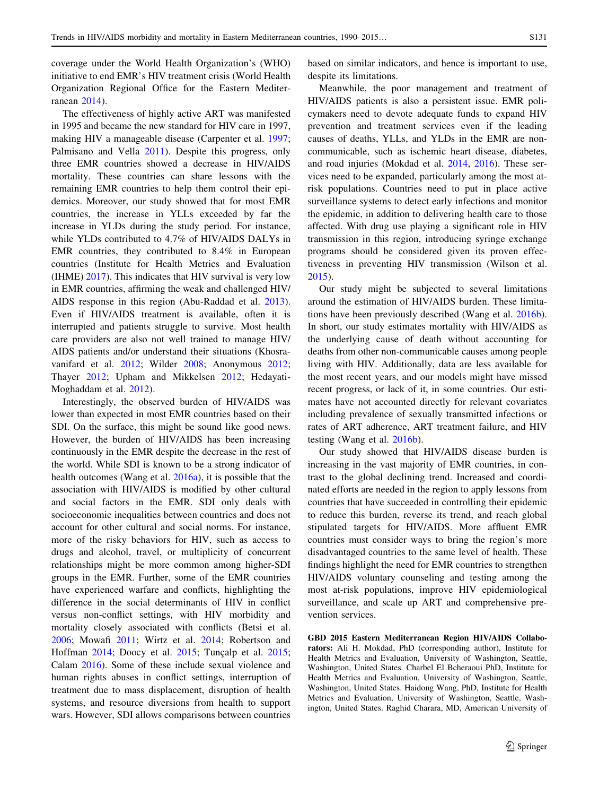coverage under the World Health Organization's (WHO) initiative to end EMR's HIV treatment crisis (World Health Organization Regional Office for the Eastern Mediterranean [2014](#page-13-0)).

The effectiveness of highly active ART was manifested in 1995 and became the new standard for HIV care in 1997, making HIV a manageable disease (Carpenter et al. [1997](#page-12-0); Palmisano and Vella [2011](#page-12-0)). Despite this progress, only three EMR countries showed a decrease in HIV/AIDS mortality. These countries can share lessons with the remaining EMR countries to help them control their epidemics. Moreover, our study showed that for most EMR countries, the increase in YLLs exceeded by far the increase in YLDs during the study period. For instance, while YLDs contributed to 4.7% of HIV/AIDS DALYs in EMR countries, they contributed to 8.4% in European countries (Institute for Health Metrics and Evaluation (IHME) [2017\)](#page-12-0). This indicates that HIV survival is very low in EMR countries, affirming the weak and challenged HIV/ AIDS response in this region (Abu-Raddad et al. [2013](#page-11-0)). Even if HIV/AIDS treatment is available, often it is interrupted and patients struggle to survive. Most health care providers are also not well trained to manage HIV/ AIDS patients and/or understand their situations (Khosravanifard et al. [2012;](#page-12-0) Wilder [2008;](#page-13-0) Anonymous [2012](#page-12-0); Thayer [2012;](#page-12-0) Upham and Mikkelsen [2012](#page-12-0); Hedayati-Moghaddam et al. [2012\)](#page-12-0).

Interestingly, the observed burden of HIV/AIDS was lower than expected in most EMR countries based on their SDI. On the surface, this might be sound like good news. However, the burden of HIV/AIDS has been increasing continuously in the EMR despite the decrease in the rest of the world. While SDI is known to be a strong indicator of health outcomes (Wang et al. [2016a\)](#page-12-0), it is possible that the association with HIV/AIDS is modified by other cultural and social factors in the EMR. SDI only deals with socioeconomic inequalities between countries and does not account for other cultural and social norms. For instance, more of the risky behaviors for HIV, such as access to drugs and alcohol, travel, or multiplicity of concurrent relationships might be more common among higher-SDI groups in the EMR. Further, some of the EMR countries have experienced warfare and conflicts, highlighting the difference in the social determinants of HIV in conflict versus non-conflict settings, with HIV morbidity and mortality closely associated with conflicts (Betsi et al. [2006;](#page-12-0) Mowafi [2011;](#page-12-0) Wirtz et al. [2014;](#page-13-0) Robertson and Hoffman [2014;](#page-12-0) Doocy et al. [2015;](#page-12-0) Tunçalp et al. [2015](#page-12-0); Calam [2016](#page-12-0)). Some of these include sexual violence and human rights abuses in conflict settings, interruption of treatment due to mass displacement, disruption of health systems, and resource diversions from health to support wars. However, SDI allows comparisons between countries based on similar indicators, and hence is important to use, despite its limitations.

Meanwhile, the poor management and treatment of HIV/AIDS patients is also a persistent issue. EMR policymakers need to devote adequate funds to expand HIV prevention and treatment services even if the leading causes of deaths, YLLs, and YLDs in the EMR are noncommunicable, such as ischemic heart disease, diabetes, and road injuries (Mokdad et al. [2014](#page-12-0), [2016\)](#page-12-0). These services need to be expanded, particularly among the most atrisk populations. Countries need to put in place active surveillance systems to detect early infections and monitor the epidemic, in addition to delivering health care to those affected. With drug use playing a significant role in HIV transmission in this region, introducing syringe exchange programs should be considered given its proven effectiveness in preventing HIV transmission (Wilson et al. [2015](#page-13-0)).

Our study might be subjected to several limitations around the estimation of HIV/AIDS burden. These limitations have been previously described (Wang et al. [2016b](#page-12-0)). In short, our study estimates mortality with HIV/AIDS as the underlying cause of death without accounting for deaths from other non-communicable causes among people living with HIV. Additionally, data are less available for the most recent years, and our models might have missed recent progress, or lack of it, in some countries. Our estimates have not accounted directly for relevant covariates including prevalence of sexually transmitted infections or rates of ART adherence, ART treatment failure, and HIV testing (Wang et al. [2016b](#page-12-0)).

Our study showed that HIV/AIDS disease burden is increasing in the vast majority of EMR countries, in contrast to the global declining trend. Increased and coordinated efforts are needed in the region to apply lessons from countries that have succeeded in controlling their epidemic to reduce this burden, reverse its trend, and reach global stipulated targets for HIV/AIDS. More affluent EMR countries must consider ways to bring the region's more disadvantaged countries to the same level of health. These findings highlight the need for EMR countries to strengthen HIV/AIDS voluntary counseling and testing among the most at-risk populations, improve HIV epidemiological surveillance, and scale up ART and comprehensive prevention services.

GBD 2015 Eastern Mediterranean Region HIV/AIDS Collaborators: Ali H. Mokdad, PhD (corresponding author), Institute for Health Metrics and Evaluation, University of Washington, Seattle, Washington, United States. Charbel El Bcheraoui PhD, Institute for Health Metrics and Evaluation, University of Washington, Seattle, Washington, United States. Haidong Wang, PhD, Institute for Health Metrics and Evaluation, University of Washington, Seattle, Washington, United States. Raghid Charara, MD, American University of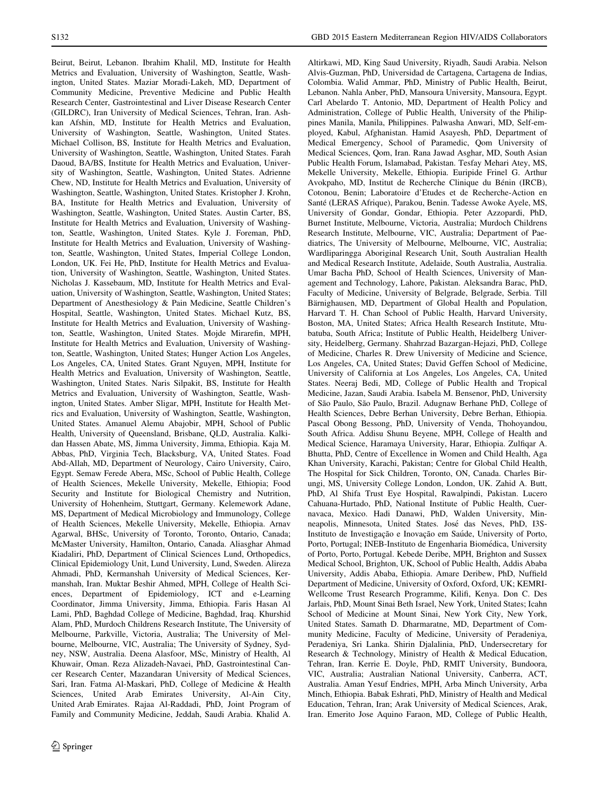Beirut, Beirut, Lebanon. Ibrahim Khalil, MD, Institute for Health Metrics and Evaluation, University of Washington, Seattle, Washington, United States. Maziar Moradi-Lakeh, MD, Department of Community Medicine, Preventive Medicine and Public Health Research Center, Gastrointestinal and Liver Disease Research Center (GILDRC), Iran University of Medical Sciences, Tehran, Iran. Ashkan Afshin, MD, Institute for Health Metrics and Evaluation, University of Washington, Seattle, Washington, United States. Michael Collison, BS, Institute for Health Metrics and Evaluation, University of Washington, Seattle, Washington, United States. Farah Daoud, BA/BS, Institute for Health Metrics and Evaluation, University of Washington, Seattle, Washington, United States. Adrienne Chew, ND, Institute for Health Metrics and Evaluation, University of Washington, Seattle, Washington, United States. Kristopher J. Krohn, BA, Institute for Health Metrics and Evaluation, University of Washington, Seattle, Washington, United States. Austin Carter, BS, Institute for Health Metrics and Evaluation, University of Washington, Seattle, Washington, United States. Kyle J. Foreman, PhD, Institute for Health Metrics and Evaluation, University of Washington, Seattle, Washington, United States, Imperial College London, London, UK. Fei He, PhD, Institute for Health Metrics and Evaluation, University of Washington, Seattle, Washington, United States. Nicholas J. Kassebaum, MD, Institute for Health Metrics and Evaluation, University of Washington, Seattle, Washington, United States; Department of Anesthesiology & Pain Medicine, Seattle Children's Hospital, Seattle, Washington, United States. Michael Kutz, BS, Institute for Health Metrics and Evaluation, University of Washington, Seattle, Washington, United States. Mojde Mirarefin, MPH, Institute for Health Metrics and Evaluation, University of Washington, Seattle, Washington, United States; Hunger Action Los Angeles, Los Angeles, CA, United States. Grant Nguyen, MPH, Institute for Health Metrics and Evaluation, University of Washington, Seattle, Washington, United States. Naris Silpakit, BS, Institute for Health Metrics and Evaluation, University of Washington, Seattle, Washington, United States. Amber Sligar, MPH, Institute for Health Metrics and Evaluation, University of Washington, Seattle, Washington, United States. Amanuel Alemu Abajobir, MPH, School of Public Health, University of Queensland, Brisbane, QLD, Australia. Kalkidan Hassen Abate, MS, Jimma University, Jimma, Ethiopia. Kaja M. Abbas, PhD, Virginia Tech, Blacksburg, VA, United States. Foad Abd-Allah, MD, Department of Neurology, Cairo University, Cairo, Egypt. Semaw Ferede Abera, MSc, School of Public Health, College of Health Sciences, Mekelle University, Mekelle, Ethiopia; Food Security and Institute for Biological Chemistry and Nutrition, University of Hohenheim, Stuttgart, Germany. Kelemework Adane, MS, Department of Medical Microbiology and Immunology, College of Health Sciences, Mekelle University, Mekelle, Ethiopia. Arnav Agarwal, BHSc, University of Toronto, Toronto, Ontario, Canada; McMaster University, Hamilton, Ontario, Canada. Aliasghar Ahmad Kiadaliri, PhD, Department of Clinical Sciences Lund, Orthopedics, Clinical Epidemiology Unit, Lund University, Lund, Sweden. Alireza Ahmadi, PhD, Kermanshah University of Medical Sciences, Kermanshah, Iran. Muktar Beshir Ahmed, MPH, College of Health Sciences, Department of Epidemiology, ICT and e-Learning Coordinator, Jimma University, Jimma, Ethiopia. Faris Hasan Al Lami, PhD, Baghdad College of Medicine, Baghdad, Iraq. Khurshid Alam, PhD, Murdoch Childrens Research Institute, The University of Melbourne, Parkville, Victoria, Australia; The University of Melbourne, Melbourne, VIC, Australia; The University of Sydney, Sydney, NSW, Australia. Deena Alasfoor, MSc, Ministry of Health, Al Khuwair, Oman. Reza Alizadeh-Navaei, PhD, Gastrointestinal Cancer Research Center, Mazandaran University of Medical Sciences, Sari, Iran. Fatma Al-Maskari, PhD, College of Medicine & Health Sciences, United Arab Emirates University, Al-Ain City, United Arab Emirates. Rajaa Al-Raddadi, PhD, Joint Program of Family and Community Medicine, Jeddah, Saudi Arabia. Khalid A.

Altirkawi, MD, King Saud University, Riyadh, Saudi Arabia. Nelson Alvis-Guzman, PhD, Universidad de Cartagena, Cartagena de Indias, Colombia. Walid Ammar, PhD, Ministry of Public Health, Beirut, Lebanon. Nahla Anber, PhD, Mansoura University, Mansoura, Egypt. Carl Abelardo T. Antonio, MD, Department of Health Policy and Administration, College of Public Health, University of the Philippines Manila, Manila, Philippines. Palwasha Anwari, MD, Self-employed, Kabul, Afghanistan. Hamid Asayesh, PhD, Department of Medical Emergency, School of Paramedic, Qom University of Medical Sciences, Qom, Iran. Rana Jawad Asghar, MD, South Asian Public Health Forum, Islamabad, Pakistan. Tesfay Mehari Atey, MS, Mekelle University, Mekelle, Ethiopia. Euripide Frinel G. Arthur Avokpaho, MD, Institut de Recherche Clinique du Bénin (IRCB), Cotonou, Benin; Laboratoire d'Etudes et de Recherche-Action en Santé (LERAS Afrique), Parakou, Benin. Tadesse Awoke Ayele, MS, University of Gondar, Gondar, Ethiopia. Peter Azzopardi, PhD, Burnet Institute, Melbourne, Victoria, Australia; Murdoch Childrens Research Institute, Melbourne, VIC, Australia; Department of Paediatrics, The University of Melbourne, Melbourne, VIC, Australia; Wardliparingga Aboriginal Research Unit, South Australian Health and Medical Research Institute, Adelaide, South Australia, Australia. Umar Bacha PhD, School of Health Sciences, University of Management and Technology, Lahore, Pakistan. Aleksandra Barac, PhD, Faculty of Medicine, University of Belgrade, Belgrade, Serbia. Till Bärnighausen, MD, Department of Global Health and Population, Harvard T. H. Chan School of Public Health, Harvard University, Boston, MA, United States; Africa Health Research Institute, Mtubatuba, South Africa; Institute of Public Health, Heidelberg University, Heidelberg, Germany. Shahrzad Bazargan-Hejazi, PhD, College of Medicine, Charles R. Drew University of Medicine and Science, Los Angeles, CA, United States; David Geffen School of Medicine, University of California at Los Angeles, Los Angeles, CA, United States. Neeraj Bedi, MD, College of Public Health and Tropical Medicine, Jazan, Saudi Arabia. Isabela M. Bensenor, PhD, University of Sa˜o Paulo, Sa˜o Paulo, Brazil. Adugnaw Berhane PhD, College of Health Sciences, Debre Berhan University, Debre Berhan, Ethiopia. Pascal Obong Bessong, PhD, University of Venda, Thohoyandou, South Africa. Addisu Shunu Beyene, MPH, College of Health and Medical Science, Haramaya University, Harar, Ethiopia. Zulfiqar A. Bhutta, PhD, Centre of Excellence in Women and Child Health, Aga Khan University, Karachi, Pakistan; Centre for Global Child Health, The Hospital for Sick Children, Toronto, ON, Canada. Charles Birungi, MS, University College London, London, UK. Zahid A. Butt, PhD, Al Shifa Trust Eye Hospital, Rawalpindi, Pakistan. Lucero Cahuana-Hurtado, PhD, National Institute of Public Health, Cuernavaca, Mexico. Hadi Danawi, PhD, Walden University, Minneapolis, Minnesota, United States. Jose´ das Neves, PhD, I3S-Instituto de Investigação e Inovação em Saúde, University of Porto, Porto, Portugal; INEB-Instituto de Engenharia Biomédica, University of Porto, Porto, Portugal. Kebede Deribe, MPH, Brighton and Sussex Medical School, Brighton, UK, School of Public Health, Addis Ababa University, Addis Ababa, Ethiopia. Amare Deribew, PhD, Nuffield Department of Medicine, University of Oxford, Oxford, UK; KEMRI-Wellcome Trust Research Programme, Kilifi, Kenya. Don C. Des Jarlais, PhD, Mount Sinai Beth Israel, New York, United States; Icahn School of Medicine at Mount Sinai, New York City, New York, United States. Samath D. Dharmaratne, MD, Department of Community Medicine, Faculty of Medicine, University of Peradeniya, Peradeniya, Sri Lanka. Shirin Djalalinia, PhD, Undersecretary for Research & Technology, Ministry of Health & Medical Education, Tehran, Iran. Kerrie E. Doyle, PhD, RMIT University, Bundoora, VIC, Australia; Australian National University, Canberra, ACT, Australia. Aman Yesuf Endries, MPH, Arba Minch University, Arba Minch, Ethiopia. Babak Eshrati, PhD, Ministry of Health and Medical Education, Tehran, Iran; Arak University of Medical Sciences, Arak, Iran. Emerito Jose Aquino Faraon, MD, College of Public Health,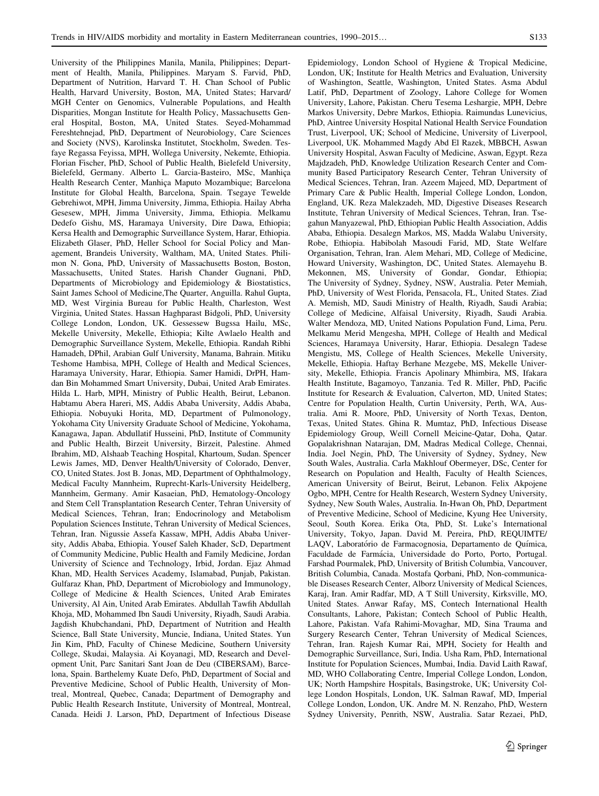University of the Philippines Manila, Manila, Philippines; Department of Health, Manila, Philippines. Maryam S. Farvid, PhD, Department of Nutrition, Harvard T. H. Chan School of Public Health, Harvard University, Boston, MA, United States; Harvard/ MGH Center on Genomics, Vulnerable Populations, and Health Disparities, Mongan Institute for Health Policy, Massachusetts General Hospital, Boston, MA, United States. Seyed-Mohammad Fereshtehnejad, PhD, Department of Neurobiology, Care Sciences and Society (NVS), Karolinska Institutet, Stockholm, Sweden. Tesfaye Regassa Feyissa, MPH, Wollega University, Nekemte, Ethiopia. Florian Fischer, PhD, School of Public Health, Bielefeld University, Bielefeld, Germany. Alberto L. Garcia-Basteiro, MSc, Manhiça Health Research Center, Manhica Maputo Mozambique; Barcelona Institute for Global Health, Barcelona, Spain. Tsegaye Tewelde Gebrehiwot, MPH, Jimma University, Jimma, Ethiopia. Hailay Abrha Gesesew, MPH, Jimma University, Jimma, Ethiopia. Melkamu Dedefo Gishu, MS, Haramaya University, Dire Dawa, Ethiopia; Kersa Health and Demographic Surveillance System, Harar, Ethiopia. Elizabeth Glaser, PhD, Heller School for Social Policy and Management, Brandeis University, Waltham, MA, United States. Philimon N. Gona, PhD, University of Massachusetts Boston, Boston, Massachusetts, United States. Harish Chander Gugnani, PhD, Departments of Microbiology and Epidemiology & Biostatistics, Saint James School of Medicine,The Quarter, Anguilla. Rahul Gupta, MD, West Virginia Bureau for Public Health, Charleston, West Virginia, United States. Hassan Haghparast Bidgoli, PhD, University College London, London, UK. Gessessew Bugssa Hailu, MSc, Mekelle University, Mekelle, Ethiopia; Kilte Awlaelo Health and Demographic Surveillance System, Mekelle, Ethiopia. Randah Ribhi Hamadeh, DPhil, Arabian Gulf University, Manama, Bahrain. Mitiku Teshome Hambisa, MPH, College of Health and Medical Sciences, Haramaya University, Harar, Ethiopia. Samer Hamidi, DrPH, Hamdan Bin Mohammed Smart University, Dubai, United Arab Emirates. Hilda L. Harb, MPH, Ministry of Public Health, Beirut, Lebanon. Habtamu Abera Hareri, MS, Addis Ababa University, Addis Ababa, Ethiopia. Nobuyuki Horita, MD, Department of Pulmonology, Yokohama City University Graduate School of Medicine, Yokohama, Kanagawa, Japan. Abdullatif Husseini, PhD, Institute of Community and Public Health, Birzeit University, Birzeit, Palestine. Ahmed Ibrahim, MD, Alshaab Teaching Hospital, Khartoum, Sudan. Spencer Lewis James, MD, Denver Health/University of Colorado, Denver, CO, United States. Jost B. Jonas, MD, Department of Ophthalmology, Medical Faculty Mannheim, Ruprecht-Karls-University Heidelberg, Mannheim, Germany. Amir Kasaeian, PhD, Hematology-Oncology and Stem Cell Transplantation Research Center, Tehran University of Medical Sciences, Tehran, Iran; Endocrinology and Metabolism Population Sciences Institute, Tehran University of Medical Sciences, Tehran, Iran. Nigussie Assefa Kassaw, MPH, Addis Ababa University, Addis Ababa, Ethiopia. Yousef Saleh Khader, ScD, Department of Community Medicine, Public Health and Family Medicine, Jordan University of Science and Technology, Irbid, Jordan. Ejaz Ahmad Khan, MD, Health Services Academy, Islamabad, Punjab, Pakistan. Gulfaraz Khan, PhD, Department of Microbiology and Immunology, College of Medicine & Health Sciences, United Arab Emirates University, Al Ain, United Arab Emirates. Abdullah Tawfih Abdullah Khoja, MD, Mohammed Ibn Saudi University, Riyadh, Saudi Arabia. Jagdish Khubchandani, PhD, Department of Nutrition and Health Science, Ball State University, Muncie, Indiana, United States. Yun Jin Kim, PhD, Faculty of Chinese Medicine, Southern University College, Skudai, Malaysia. Ai Koyanagi, MD, Research and Development Unit, Parc Sanitari Sant Joan de Deu (CIBERSAM), Barcelona, Spain. Barthelemy Kuate Defo, PhD, Department of Social and Preventive Medicine, School of Public Health, University of Montreal, Montreal, Quebec, Canada; Department of Demography and Public Health Research Institute, University of Montreal, Montreal, Canada. Heidi J. Larson, PhD, Department of Infectious Disease Epidemiology, London School of Hygiene & Tropical Medicine, London, UK; Institute for Health Metrics and Evaluation, University of Washington, Seattle, Washington, United States. Asma Abdul Latif, PhD, Department of Zoology, Lahore College for Women University, Lahore, Pakistan. Cheru Tesema Leshargie, MPH, Debre Markos University, Debre Markos, Ethiopia. Raimundas Lunevicius, PhD, Aintree University Hospital National Health Service Foundation Trust, Liverpool, UK; School of Medicine, University of Liverpool, Liverpool, UK. Mohammed Magdy Abd El Razek, MBBCH, Aswan University Hospital, Aswan Faculty of Medicine, Aswan, Egypt. Reza Majdzadeh, PhD, Knowledge Utilization Research Center and Community Based Participatory Research Center, Tehran University of Medical Sciences, Tehran, Iran. Azeem Majeed, MD, Department of Primary Care & Public Health, Imperial College London, London, England, UK. Reza Malekzadeh, MD, Digestive Diseases Research Institute, Tehran University of Medical Sciences, Tehran, Iran. Tsegahun Manyazewal, PhD, Ethiopian Public Health Association, Addis Ababa, Ethiopia. Desalegn Markos, MS, Madda Walabu University, Robe, Ethiopia. Habibolah Masoudi Farid, MD, State Welfare Organisation, Tehran, Iran. Alem Mehari, MD, College of Medicine, Howard University, Washington, DC, United States. Alemayehu B. Mekonnen, MS, University of Gondar, Gondar, Ethiopia; The University of Sydney, Sydney, NSW, Australia. Peter Memiah, PhD, University of West Florida, Pensacola, FL, United States. Ziad A. Memish, MD, Saudi Ministry of Health, Riyadh, Saudi Arabia; College of Medicine, Alfaisal University, Riyadh, Saudi Arabia. Walter Mendoza, MD, United Nations Population Fund, Lima, Peru. Melkamu Merid Mengesha, MPH, College of Health and Medical Sciences, Haramaya University, Harar, Ethiopia. Desalegn Tadese Mengistu, MS, College of Health Sciences, Mekelle University, Mekelle, Ethiopia. Haftay Berhane Mezgebe, MS, Mekelle University, Mekelle, Ethiopia. Francis Apolinary Mhimbira, MS, Ifakara Health Institute, Bagamoyo, Tanzania. Ted R. Miller, PhD, Pacific Institute for Research & Evaluation, Calverton, MD, United States; Centre for Population Health, Curtin University, Perth, WA, Australia. Ami R. Moore, PhD, University of North Texas, Denton, Texas, United States. Ghina R. Mumtaz, PhD, Infectious Disease Epidemiology Group, Weill Cornell Meicine-Qatar, Doha, Qatar. Gopalakrishnan Natarajan, DM, Madras Medical College, Chennai, India. Joel Negin, PhD, The University of Sydney, Sydney, New South Wales, Australia. Carla Makhlouf Obermeyer, DSc, Center for Research on Population and Health, Faculty of Health Sciences, American University of Beirut, Beirut, Lebanon. Felix Akpojene Ogbo, MPH, Centre for Health Research, Western Sydney University, Sydney, New South Wales, Australia. In-Hwan Oh, PhD, Department of Preventive Medicine, School of Medicine, Kyung Hee University, Seoul, South Korea. Erika Ota, PhD, St. Luke's International University, Tokyo, Japan. David M. Pereira, PhD, REQUIMTE/ LAQV, Laboratório de Farmacognosia, Departamento de Química, Faculdade de Farmácia, Universidade do Porto, Porto, Portugal. Farshad Pourmalek, PhD, University of British Columbia, Vancouver, British Columbia, Canada. Mostafa Qorbani, PhD, Non-communicable Diseases Research Center, Alborz University of Medical Sciences, Karaj, Iran. Amir Radfar, MD, A T Still University, Kirksville, MO, United States. Anwar Rafay, MS, Contech International Health Consultants, Lahore, Pakistan; Contech School of Public Health, Lahore, Pakistan. Vafa Rahimi-Movaghar, MD, Sina Trauma and Surgery Research Center, Tehran University of Medical Sciences, Tehran, Iran. Rajesh Kumar Rai, MPH, Society for Health and Demographic Surveillance, Suri, India. Usha Ram, PhD, International Institute for Population Sciences, Mumbai, India. David Laith Rawaf, MD, WHO Collaborating Centre, Imperial College London, London, UK; North Hampshire Hospitals, Basingstroke, UK; University College London Hospitals, London, UK. Salman Rawaf, MD, Imperial College London, London, UK. Andre M. N. Renzaho, PhD, Western Sydney University, Penrith, NSW, Australia. Satar Rezaei, PhD,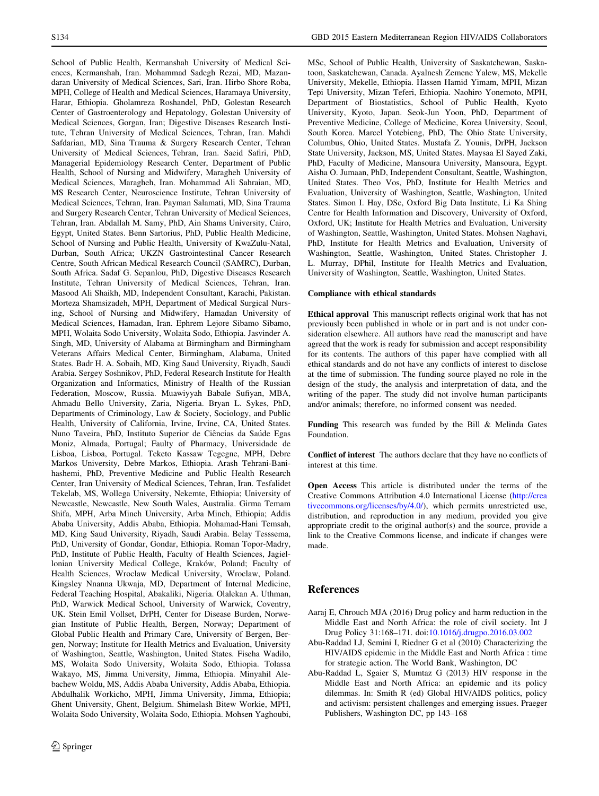<span id="page-11-0"></span>School of Public Health, Kermanshah University of Medical Sciences, Kermanshah, Iran. Mohammad Sadegh Rezai, MD, Mazandaran University of Medical Sciences, Sari, Iran. Hirbo Shore Roba, MPH, College of Health and Medical Sciences, Haramaya University, Harar, Ethiopia. Gholamreza Roshandel, PhD, Golestan Research Center of Gastroenterology and Hepatology, Golestan University of Medical Sciences, Gorgan, Iran; Digestive Diseases Research Institute, Tehran University of Medical Sciences, Tehran, Iran. Mahdi Safdarian, MD, Sina Trauma & Surgery Research Center, Tehran University of Medical Sciences, Tehran, Iran. Saeid Safiri, PhD, Managerial Epidemiology Research Center, Department of Public Health, School of Nursing and Midwifery, Maragheh University of Medical Sciences, Maragheh, Iran. Mohammad Ali Sahraian, MD, MS Research Center, Neuroscience Institute, Tehran University of Medical Sciences, Tehran, Iran. Payman Salamati, MD, Sina Trauma and Surgery Research Center, Tehran University of Medical Sciences, Tehran, Iran. Abdallah M. Samy, PhD, Ain Shams University, Cairo, Egypt, United States. Benn Sartorius, PhD, Public Health Medicine, School of Nursing and Public Health, University of KwaZulu-Natal, Durban, South Africa; UKZN Gastrointestinal Cancer Research Centre, South African Medical Research Council (SAMRC), Durban, South Africa. Sadaf G. Sepanlou, PhD, Digestive Diseases Research Institute, Tehran University of Medical Sciences, Tehran, Iran. Masood Ali Shaikh, MD, Independent Consultant, Karachi, Pakistan. Morteza Shamsizadeh, MPH, Department of Medical Surgical Nursing, School of Nursing and Midwifery, Hamadan University of Medical Sciences, Hamadan, Iran. Ephrem Lejore Sibamo Sibamo, MPH, Wolaita Sodo University, Wolaita Sodo, Ethiopia. Jasvinder A. Singh, MD, University of Alabama at Birmingham and Birmingham Veterans Affairs Medical Center, Birmingham, Alabama, United States. Badr H. A. Sobaih, MD, King Saud University, Riyadh, Saudi Arabia. Sergey Soshnikov, PhD, Federal Research Institute for Health Organization and Informatics, Ministry of Health of the Russian Federation, Moscow, Russia. Muawiyyah Babale Sufiyan, MBA, Ahmadu Bello University, Zaria, Nigeria. Bryan L. Sykes, PhD, Departments of Criminology, Law & Society, Sociology, and Public Health, University of California, Irvine, Irvine, CA, United States. Nuno Taveira, PhD, Instituto Superior de Ciências da Saúde Egas Moniz, Almada, Portugal; Faulty of Pharmacy, Universidade de Lisboa, Lisboa, Portugal. Teketo Kassaw Tegegne, MPH, Debre Markos University, Debre Markos, Ethiopia. Arash Tehrani-Banihashemi, PhD, Preventive Medicine and Public Health Research Center, Iran University of Medical Sciences, Tehran, Iran. Tesfalidet Tekelab, MS, Wollega University, Nekemte, Ethiopia; University of Newcastle, Newcastle, New South Wales, Australia. Girma Temam Shifa, MPH, Arba Minch University, Arba Minch, Ethiopia; Addis Ababa University, Addis Ababa, Ethiopia. Mohamad-Hani Temsah, MD, King Saud University, Riyadh, Saudi Arabia. Belay Tesssema, PhD, University of Gondar, Gondar, Ethiopia. Roman Topor-Madry, PhD, Institute of Public Health, Faculty of Health Sciences, Jagiellonian University Medical College, Kraków, Poland; Faculty of Health Sciences, Wroclaw Medical University, Wroclaw, Poland. Kingsley Nnanna Ukwaja, MD, Department of Internal Medicine, Federal Teaching Hospital, Abakaliki, Nigeria. Olalekan A. Uthman, PhD, Warwick Medical School, University of Warwick, Coventry, UK. Stein Emil Vollset, DrPH, Center for Disease Burden, Norwegian Institute of Public Health, Bergen, Norway; Department of Global Public Health and Primary Care, University of Bergen, Bergen, Norway; Institute for Health Metrics and Evaluation, University of Washington, Seattle, Washington, United States. Fiseha Wadilo, MS, Wolaita Sodo University, Wolaita Sodo, Ethiopia. Tolassa Wakayo, MS, Jimma University, Jimma, Ethiopia. Minyahil Alebachew Woldu, MS, Addis Ababa University, Addis Ababa, Ethiopia. Abdulhalik Workicho, MPH, Jimma University, Jimma, Ethiopia; Ghent University, Ghent, Belgium. Shimelash Bitew Workie, MPH, Wolaita Sodo University, Wolaita Sodo, Ethiopia. Mohsen Yaghoubi, MSc, School of Public Health, University of Saskatchewan, Saskatoon, Saskatchewan, Canada. Ayalnesh Zemene Yalew, MS, Mekelle University, Mekelle, Ethiopia. Hassen Hamid Yimam, MPH, Mizan Tepi University, Mizan Teferi, Ethiopia. Naohiro Yonemoto, MPH, Department of Biostatistics, School of Public Health, Kyoto University, Kyoto, Japan. Seok-Jun Yoon, PhD, Department of Preventive Medicine, College of Medicine, Korea University, Seoul, South Korea. Marcel Yotebieng, PhD, The Ohio State University, Columbus, Ohio, United States. Mustafa Z. Younis, DrPH, Jackson State University, Jackson, MS, United States. Maysaa El Sayed Zaki, PhD, Faculty of Medicine, Mansoura University, Mansoura, Egypt. Aisha O. Jumaan, PhD, Independent Consultant, Seattle, Washington, United States. Theo Vos, PhD, Institute for Health Metrics and Evaluation, University of Washington, Seattle, Washington, United States. Simon I. Hay, DSc, Oxford Big Data Institute, Li Ka Shing Centre for Health Information and Discovery, University of Oxford, Oxford, UK; Institute for Health Metrics and Evaluation, University of Washington, Seattle, Washington, United States. Mohsen Naghavi, PhD, Institute for Health Metrics and Evaluation, University of Washington, Seattle, Washington, United States. Christopher J. L. Murray, DPhil, Institute for Health Metrics and Evaluation, University of Washington, Seattle, Washington, United States.

#### Compliance with ethical standards

Ethical approval This manuscript reflects original work that has not previously been published in whole or in part and is not under consideration elsewhere. All authors have read the manuscript and have agreed that the work is ready for submission and accept responsibility for its contents. The authors of this paper have complied with all ethical standards and do not have any conflicts of interest to disclose at the time of submission. The funding source played no role in the design of the study, the analysis and interpretation of data, and the writing of the paper. The study did not involve human participants and/or animals; therefore, no informed consent was needed.

Funding This research was funded by the Bill & Melinda Gates Foundation.

Conflict of interest The authors declare that they have no conflicts of interest at this time.

Open Access This article is distributed under the terms of the Creative Commons Attribution 4.0 International License ([http://crea](http://creativecommons.org/licenses/by/4.0/) [tivecommons.org/licenses/by/4.0/\)](http://creativecommons.org/licenses/by/4.0/), which permits unrestricted use, distribution, and reproduction in any medium, provided you give appropriate credit to the original author(s) and the source, provide a link to the Creative Commons license, and indicate if changes were made.

#### References

- Aaraj E, Chrouch MJA (2016) Drug policy and harm reduction in the Middle East and North Africa: the role of civil society. Int J Drug Policy 31:168–171. doi:[10.1016/j.drugpo.2016.03.002](https://doi.org/10.1016/j.drugpo.2016.03.002)
- Abu-Raddad LJ, Semini I, Riedner G et al (2010) Characterizing the HIV/AIDS epidemic in the Middle East and North Africa : time for strategic action. The World Bank, Washington, DC
- Abu-Raddad L, Sgaier S, Mumtaz G (2013) HIV response in the Middle East and North Africa: an epidemic and its policy dilemmas. In: Smith R (ed) Global HIV/AIDS politics, policy and activism: persistent challenges and emerging issues. Praeger Publishers, Washington DC, pp 143–168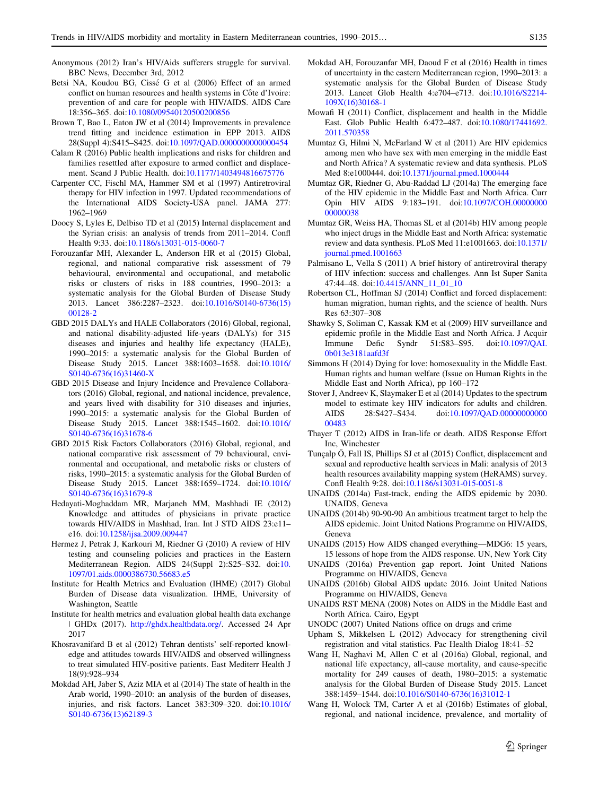- <span id="page-12-0"></span>Anonymous (2012) Iran's HIV/Aids sufferers struggle for survival. BBC News, December 3rd, 2012
- Betsi NA, Koudou BG, Cissé G et al (2006) Effect of an armed conflict on human resources and health systems in Côte d'Ivoire: prevention of and care for people with HIV/AIDS. AIDS Care 18:356–365. doi:[10.1080/09540120500200856](https://doi.org/10.1080/09540120500200856)
- Brown T, Bao L, Eaton JW et al (2014) Improvements in prevalence trend fitting and incidence estimation in EPP 2013. AIDS 28(Suppl 4):S415–S425. doi:[10.1097/QAD.0000000000000454](https://doi.org/10.1097/QAD.0000000000000454)
- Calam R (2016) Public health implications and risks for children and families resettled after exposure to armed conflict and displacement. Scand J Public Health. doi[:10.1177/1403494816675776](https://doi.org/10.1177/1403494816675776)
- Carpenter CC, Fischl MA, Hammer SM et al (1997) Antiretroviral therapy for HIV infection in 1997. Updated recommendations of the International AIDS Society-USA panel. JAMA 277: 1962–1969
- Doocy S, Lyles E, Delbiso TD et al (2015) Internal displacement and the Syrian crisis: an analysis of trends from 2011–2014. Confl Health 9:33. doi:[10.1186/s13031-015-0060-7](https://doi.org/10.1186/s13031-015-0060-7)
- Forouzanfar MH, Alexander L, Anderson HR et al (2015) Global, regional, and national comparative risk assessment of 79 behavioural, environmental and occupational, and metabolic risks or clusters of risks in 188 countries, 1990–2013: a systematic analysis for the Global Burden of Disease Study 2013. Lancet 386:2287–2323. doi:[10.1016/S0140-6736\(15\)](https://doi.org/10.1016/S0140-6736(15)00128-2) [00128-2](https://doi.org/10.1016/S0140-6736(15)00128-2)
- GBD 2015 DALYs and HALE Collaborators (2016) Global, regional, and national disability-adjusted life-years (DALYs) for 315 diseases and injuries and healthy life expectancy (HALE), 1990–2015: a systematic analysis for the Global Burden of Disease Study 2015. Lancet 388:1603–1658. doi[:10.1016/](https://doi.org/10.1016/S0140-6736(16)31460-X) [S0140-6736\(16\)31460-X](https://doi.org/10.1016/S0140-6736(16)31460-X)
- GBD 2015 Disease and Injury Incidence and Prevalence Collaborators (2016) Global, regional, and national incidence, prevalence, and years lived with disability for 310 diseases and injuries, 1990–2015: a systematic analysis for the Global Burden of Disease Study 2015. Lancet 388:1545–1602. doi[:10.1016/](https://doi.org/10.1016/S0140-6736(16)31678-6) [S0140-6736\(16\)31678-6](https://doi.org/10.1016/S0140-6736(16)31678-6)
- GBD 2015 Risk Factors Collaborators (2016) Global, regional, and national comparative risk assessment of 79 behavioural, environmental and occupational, and metabolic risks or clusters of risks, 1990–2015: a systematic analysis for the Global Burden of Disease Study 2015. Lancet 388:1659–1724. doi[:10.1016/](https://doi.org/10.1016/S0140-6736(16)31679-8) [S0140-6736\(16\)31679-8](https://doi.org/10.1016/S0140-6736(16)31679-8)
- Hedayati-Moghaddam MR, Marjaneh MM, Mashhadi IE (2012) Knowledge and attitudes of physicians in private practice towards HIV/AIDS in Mashhad, Iran. Int J STD AIDS 23:e11– e16. doi[:10.1258/ijsa.2009.009447](https://doi.org/10.1258/ijsa.2009.009447)
- Hermez J, Petrak J, Karkouri M, Riedner G (2010) A review of HIV testing and counseling policies and practices in the Eastern Mediterranean Region. AIDS 24(Suppl 2):S25–S32. doi:[10.](https://doi.org/10.1097/01.aids.0000386730.56683.e5) [1097/01.aids.0000386730.56683.e5](https://doi.org/10.1097/01.aids.0000386730.56683.e5)
- Institute for Health Metrics and Evaluation (IHME) (2017) Global Burden of Disease data visualization. IHME, University of Washington, Seattle
- Institute for health metrics and evaluation global health data exchange | GHDx (2017). <http://ghdx.healthdata.org/>. Accessed 24 Apr 2017
- Khosravanifard B et al (2012) Tehran dentists' self-reported knowledge and attitudes towards HIV/AIDS and observed willingness to treat simulated HIV-positive patients. East Mediterr Health J 18(9):928–934
- Mokdad AH, Jaber S, Aziz MIA et al (2014) The state of health in the Arab world, 1990–2010: an analysis of the burden of diseases, injuries, and risk factors. Lancet 383:309–320. doi[:10.1016/](https://doi.org/10.1016/S0140-6736(13)62189-3) [S0140-6736\(13\)62189-3](https://doi.org/10.1016/S0140-6736(13)62189-3)
- Mokdad AH, Forouzanfar MH, Daoud F et al (2016) Health in times of uncertainty in the eastern Mediterranean region, 1990–2013: a systematic analysis for the Global Burden of Disease Study 2013. Lancet Glob Health 4:e704–e713. doi:[10.1016/S2214-](https://doi.org/10.1016/S2214-109X(16)30168-1) [109X\(16\)30168-1](https://doi.org/10.1016/S2214-109X(16)30168-1)
- Mowafi H (2011) Conflict, displacement and health in the Middle East. Glob Public Health 6:472–487. doi[:10.1080/17441692.](https://doi.org/10.1080/17441692.2011.570358) [2011.570358](https://doi.org/10.1080/17441692.2011.570358)
- Mumtaz G, Hilmi N, McFarland W et al (2011) Are HIV epidemics among men who have sex with men emerging in the middle East and North Africa? A systematic review and data synthesis. PLoS Med 8:e1000444. doi:[10.1371/journal.pmed.1000444](https://doi.org/10.1371/journal.pmed.1000444)
- Mumtaz GR, Riedner G, Abu-Raddad LJ (2014a) The emerging face of the HIV epidemic in the Middle East and North Africa. Curr Opin HIV AIDS 9:183–191. doi:[10.1097/COH.00000000](https://doi.org/10.1097/COH.0000000000000038) [00000038](https://doi.org/10.1097/COH.0000000000000038)
- Mumtaz GR, Weiss HA, Thomas SL et al (2014b) HIV among people who inject drugs in the Middle East and North Africa: systematic review and data synthesis. PLoS Med 11:e1001663. doi[:10.1371/](https://doi.org/10.1371/journal.pmed.1001663) [journal.pmed.1001663](https://doi.org/10.1371/journal.pmed.1001663)
- Palmisano L, Vella S (2011) A brief history of antiretroviral therapy of HIV infection: success and challenges. Ann Ist Super Sanita 47:44–48. doi[:10.4415/ANN\\_11\\_01\\_10](https://doi.org/10.4415/ANN_11_01_10)
- Robertson CL, Hoffman SJ (2014) Conflict and forced displacement: human migration, human rights, and the science of health. Nurs Res 63:307–308
- Shawky S, Soliman C, Kassak KM et al (2009) HIV surveillance and epidemic profile in the Middle East and North Africa. J Acquir Immune Defic Syndr 51:S83–S95. doi[:10.1097/QAI.](https://doi.org/10.1097/QAI.0b013e3181aafd3f) [0b013e3181aafd3f](https://doi.org/10.1097/QAI.0b013e3181aafd3f)
- Simmons H (2014) Dying for love: homosexuality in the Middle East. Human rights and human welfare (Issue on Human Rights in the Middle East and North Africa), pp 160–172
- Stover J, Andreev K, Slaymaker E et al (2014) Updates to the spectrum model to estimate key HIV indicators for adults and children. AIDS 28:S427–S434. doi[:10.1097/QAD.00000000000](https://doi.org/10.1097/QAD.0000000000000483) [00483](https://doi.org/10.1097/QAD.0000000000000483)
- Thayer T (2012) AIDS in Iran-life or death. AIDS Response Effort Inc, Winchester
- Tunçalp Ö, Fall IS, Phillips SJ et al (2015) Conflict, displacement and sexual and reproductive health services in Mali: analysis of 2013 health resources availability mapping system (HeRAMS) survey. Confl Health 9:28. doi:[10.1186/s13031-015-0051-8](https://doi.org/10.1186/s13031-015-0051-8)
- UNAIDS (2014a) Fast-track, ending the AIDS epidemic by 2030. UNAIDS, Geneva
- UNAIDS (2014b) 90-90-90 An ambitious treatment target to help the AIDS epidemic. Joint United Nations Programme on HIV/AIDS, Geneva
- UNAIDS (2015) How AIDS changed everything—MDG6: 15 years, 15 lessons of hope from the AIDS response. UN, New York City
- UNAIDS (2016a) Prevention gap report. Joint United Nations Programme on HIV/AIDS, Geneva
- UNAIDS (2016b) Global AIDS update 2016. Joint United Nations Programme on HIV/AIDS, Geneva
- UNAIDS RST MENA (2008) Notes on AIDS in the Middle East and North Africa. Cairo, Egypt
- UNODC (2007) United Nations office on drugs and crime
- Upham S, Mikkelsen L (2012) Advocacy for strengthening civil registration and vital statistics. Pac Health Dialog 18:41–52
- Wang H, Naghavi M, Allen C et al (2016a) Global, regional, and national life expectancy, all-cause mortality, and cause-specific mortality for 249 causes of death, 1980–2015: a systematic analysis for the Global Burden of Disease Study 2015. Lancet 388:1459–1544. doi:[10.1016/S0140-6736\(16\)31012-1](https://doi.org/10.1016/S0140-6736(16)31012-1)
- Wang H, Wolock TM, Carter A et al (2016b) Estimates of global, regional, and national incidence, prevalence, and mortality of